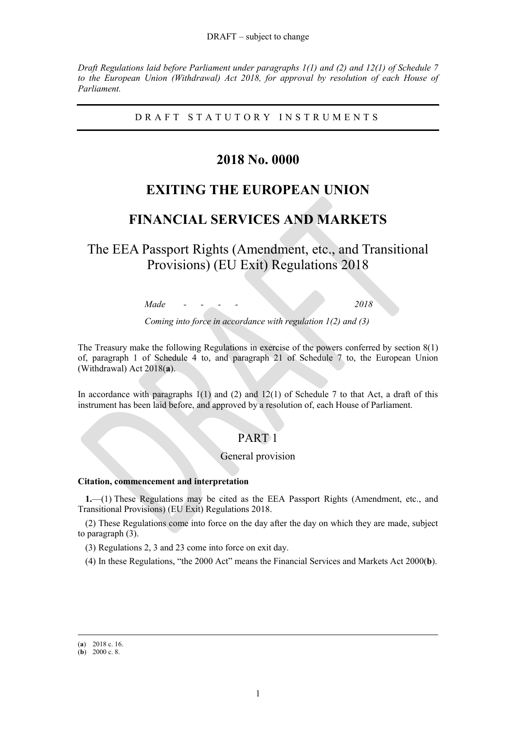#### DRAFT – subject to change

*Draft Regulations laid before Parliament under paragraphs 1(1) and (2) and 12(1) of Schedule 7 to the European Union (Withdrawal) Act 2018, for approval by resolution of each House of Parliament.*

D R A F T S T A T U T O R Y I N S T R U M E N T S

# **2018 No. 0000**

# **EXITING THE EUROPEAN UNION**

# **FINANCIAL SERVICES AND MARKETS**

The EEA Passport Rights (Amendment, etc., and Transitional Provisions) (EU Exit) Regulations 2018

*Made - - - - 2018*

*Coming into force in accordance with regulation 1(2) and (3)*

The Treasury make the following Regulations in exercise of the powers conferred by section 8(1) of, paragraph 1 of Schedule 4 to, and paragraph 21 of Schedule 7 to, the European Union (Withdrawal) Act 2018(**a**).

In accordance with paragraphs  $1(1)$  and  $(2)$  and  $12(1)$  of Schedule 7 to that Act, a draft of this instrument has been laid before, and approved by a resolution of, each House of Parliament.

## PART 1

## General provision

## **Citation, commencement and interpretation**

**1.**—(1) These Regulations may be cited as the EEA Passport Rights (Amendment, etc., and Transitional Provisions) (EU Exit) Regulations 2018.

(2) These Regulations come into force on the day after the day on which they are made, subject to paragraph (3).

(3) Regulations [2,](#page-1-0) [3](#page-1-1) and [23](#page-10-0) come into force on exit day.

(4) In these Regulations, "the 2000 Act" means the Financial Services and Markets Act 2000(**b**).

<sup>(</sup>**a**) 2018 c. 16.

<sup>(</sup>**b**) 2000 c. 8.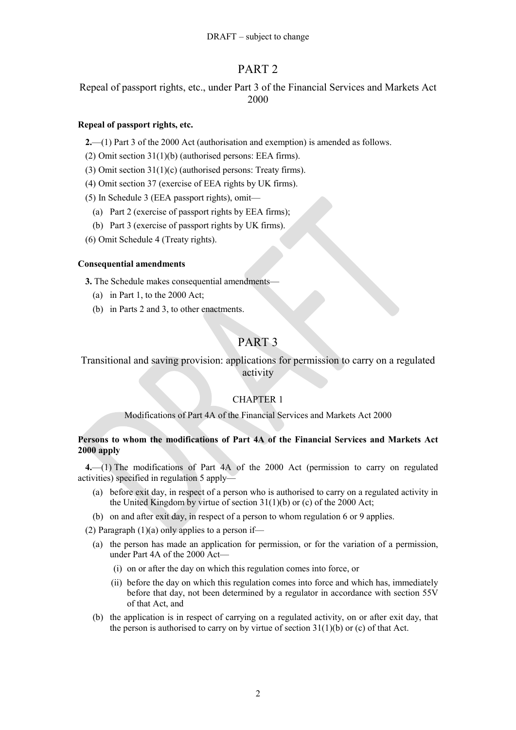# PART 2

Repeal of passport rights, etc., under Part 3 of the Financial Services and Markets Act 2000

## <span id="page-1-0"></span>**Repeal of passport rights, etc.**

**2.**—(1) Part 3 of the 2000 Act (authorisation and exemption) is amended as follows.

(2) Omit section 31(1)(b) (authorised persons: EEA firms).

- (3) Omit section 31(1)(c) (authorised persons: Treaty firms).
- (4) Omit section 37 (exercise of EEA rights by UK firms).

(5) In Schedule 3 (EEA passport rights), omit—

- (a) Part 2 (exercise of passport rights by EEA firms);
- (b) Part 3 (exercise of passport rights by UK firms).

(6) Omit Schedule 4 (Treaty rights).

## <span id="page-1-1"></span>**Consequential amendments**

**3.** The Schedule makes consequential amendments—

- (a) in Part 1, to the 2000 Act;
- (b) in Parts 2 and 3, to other enactments.

# PART 3

Transitional and saving provision: applications for permission to carry on a regulated activity

## CHAPTER 1

## Modifications of Part 4A of the Financial Services and Markets Act 2000

## **Persons to whom the modifications of Part 4A of the Financial Services and Markets Act 2000 apply**

**4.**—(1) The modifications of Part 4A of the 2000 Act (permission to carry on regulated activities) specified in regulation [5](#page-2-0) apply—

- (a) before exit day, in respect of a person who is authorised to carry on a regulated activity in the United Kingdom by virtue of section 31(1)(b) or (c) of the 2000 Act;
- (b) on and after exit day, in respect of a person to whom regulation 6 or [9](#page-4-0) applies.

(2) Paragraph  $(1)(a)$  only applies to a person if—

- (a) the person has made an application for permission, or for the variation of a permission, under Part 4A of the 2000 Act—
	- (i) on or after the day on which this regulation comes into force, or
	- (ii) before the day on which this regulation comes into force and which has, immediately before that day, not been determined by a regulator in accordance with section 55V of that Act, and
- (b) the application is in respect of carrying on a regulated activity, on or after exit day, that the person is authorised to carry on by virtue of section  $31(1)(b)$  or (c) of that Act.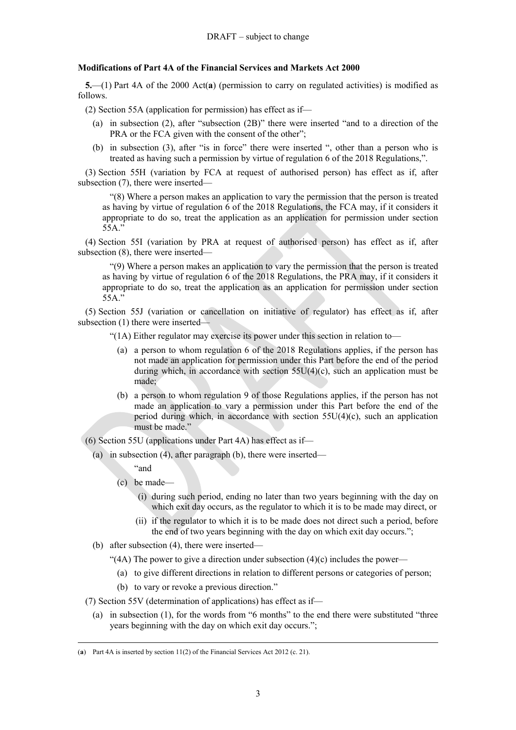## **Modifications of Part 4A of the Financial Services and Markets Act 2000**

<span id="page-2-0"></span>**5.**—(1) Part 4A of the 2000 Act(**a**) (permission to carry on regulated activities) is modified as follows.

(2) Section 55A (application for permission) has effect as if—

- (a) in subsection (2), after "subsection (2B)" there were inserted "and to a direction of the PRA or the FCA given with the consent of the other";
- (b) in subsection (3), after "is in force" there were inserted ", other than a person who is treated as having such a permission by virtue of regulation 6 of the 2018 Regulations,".

(3) Section 55H (variation by FCA at request of authorised person) has effect as if, after subsection (7), there were inserted—

"(8) Where a person makes an application to vary the permission that the person is treated as having by virtue of regulation 6 of the 2018 Regulations, the FCA may, if it considers it appropriate to do so, treat the application as an application for permission under section 55A."

(4) Section 55I (variation by PRA at request of authorised person) has effect as if, after subsection (8), there were inserted—

"(9) Where a person makes an application to vary the permission that the person is treated as having by virtue of regulation 6 of the 2018 Regulations, the PRA may, if it considers it appropriate to do so, treat the application as an application for permission under section 55A."

(5) Section 55J (variation or cancellation on initiative of regulator) has effect as if, after subsection (1) there were inserted—

"(1A) Either regulator may exercise its power under this section in relation to—

- (a) a person to whom regulation 6 of the 2018 Regulations applies, if the person has not made an application for permission under this Part before the end of the period during which, in accordance with section 55U(4)(c), such an application must be made;
- (b) a person to whom regulation [9](#page-4-0) of those Regulations applies, if the person has not made an application to vary a permission under this Part before the end of the period during which, in accordance with section  $55U(4)(c)$ , such an application must be made."

(6) Section 55U (applications under Part 4A) has effect as if—

- (a) in subsection (4), after paragraph (b), there were inserted—
	- "and

- (c) be made—
	- (i) during such period, ending no later than two years beginning with the day on which exit day occurs, as the regulator to which it is to be made may direct, or
	- (ii) if the regulator to which it is to be made does not direct such a period, before the end of two years beginning with the day on which exit day occurs.";
- (b) after subsection (4), there were inserted—
	- "(4A) The power to give a direction under subsection  $(4)(c)$  includes the power—
		- (a) to give different directions in relation to different persons or categories of person;
		- (b) to vary or revoke a previous direction."
- <span id="page-2-1"></span>(7) Section 55V (determination of applications) has effect as if—
	- (a) in subsection (1), for the words from "6 months" to the end there were substituted "three years beginning with the day on which exit day occurs.";

<sup>(</sup>**a**) Part 4A is inserted by section 11(2) of the Financial Services Act 2012 (c. 21).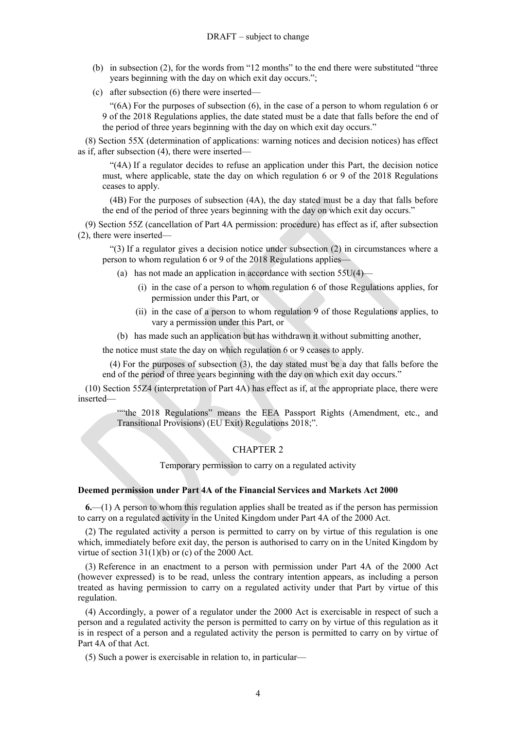- <span id="page-3-0"></span>(b) in subsection (2), for the words from "12 months" to the end there were substituted "three years beginning with the day on which exit day occurs.";
- <span id="page-3-1"></span>(c) after subsection (6) there were inserted—

"(6A) For the purposes of subsection (6), in the case of a person to whom regulation 6 or [9](#page-4-0) of the 2018 Regulations applies, the date stated must be a date that falls before the end of the period of three years beginning with the day on which exit day occurs."

<span id="page-3-2"></span>(8) Section 55X (determination of applications: warning notices and decision notices) has effect as if, after subsection (4), there were inserted—

"(4A) If a regulator decides to refuse an application under this Part, the decision notice must, where applicable, state the day on which regulation 6 or [9](#page-4-0) of the 2018 Regulations ceases to apply.

(4B) For the purposes of subsection (4A), the day stated must be a day that falls before the end of the period of three years beginning with the day on which exit day occurs."

<span id="page-3-3"></span>(9) Section 55Z (cancellation of Part 4A permission: procedure) has effect as if, after subsection (2), there were inserted—

"(3) If a regulator gives a decision notice under subsection (2) in circumstances where a person to whom regulation 6 or [9](#page-4-0) of the 2018 Regulations applies—

- (a) has not made an application in accordance with section  $55U(4)$ 
	- (i) in the case of a person to whom regulation 6 of those Regulations applies, for permission under this Part, or
	- (ii) in the case of a person to whom regulation [9](#page-4-0) of those Regulations applies, to vary a permission under this Part, or
- (b) has made such an application but has withdrawn it without submitting another,

the notice must state the day on which regulation 6 or [9](#page-4-0) ceases to apply.

(4) For the purposes of subsection (3), the day stated must be a day that falls before the end of the period of three years beginning with the day on which exit day occurs."

(10) Section 55Z4 (interpretation of Part 4A) has effect as if, at the appropriate place, there were inserted—

> ""the 2018 Regulations" means the EEA Passport Rights (Amendment, etc., and Transitional Provisions) (EU Exit) Regulations 2018;".

### CHAPTER 2

Temporary permission to carry on a regulated activity

## **Deemed permission under Part 4A of the Financial Services and Markets Act 2000**

<span id="page-3-4"></span>**6.**—(1) A person to whom this regulation applies shall be treated as if the person has permission to carry on a regulated activity in the United Kingdom under Part 4A of the 2000 Act.

(2) The regulated activity a person is permitted to carry on by virtue of this regulation is one which, immediately before exit day, the person is authorised to carry on in the United Kingdom by virtue of section  $31(1)(b)$  or (c) of the 2000 Act.

(3) Reference in an enactment to a person with permission under Part 4A of the 2000 Act (however expressed) is to be read, unless the contrary intention appears, as including a person treated as having permission to carry on a regulated activity under that Part by virtue of this regulation.

(4) Accordingly, a power of a regulator under the 2000 Act is exercisable in respect of such a person and a regulated activity the person is permitted to carry on by virtue of this regulation as it is in respect of a person and a regulated activity the person is permitted to carry on by virtue of Part 4A of that Act.

(5) Such a power is exercisable in relation to, in particular—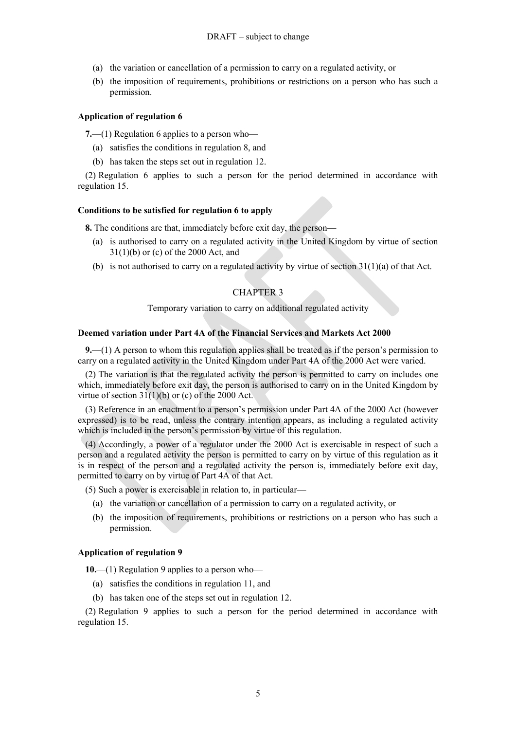- (a) the variation or cancellation of a permission to carry on a regulated activity, or
- (b) the imposition of requirements, prohibitions or restrictions on a person who has such a permission.

#### <span id="page-4-2"></span>**Application of regulation 6**

**7.**—(1) Regulation 6 applies to a person who—

- (a) satisfies the conditions in regulation [8,](#page-4-1) and
- (b) has taken the steps set out in regulation [12.](#page-5-0)

(2) Regulation 6 applies to such a person for the period determined in accordance with regulation 15.

#### <span id="page-4-1"></span>**Conditions to be satisfied for regulation 6 to apply**

**8.** The conditions are that, immediately before exit day, the person—

- (a) is authorised to carry on a regulated activity in the United Kingdom by virtue of section 31(1)(b) or (c) of the 2000 Act, and
- (b) is not authorised to carry on a regulated activity by virtue of section  $31(1)(a)$  of that Act.

## CHAPTER 3

Temporary variation to carry on additional regulated activity

### **Deemed variation under Part 4A of the Financial Services and Markets Act 2000**

<span id="page-4-0"></span>**9.**—(1) A person to whom this regulation applies shall be treated as if the person's permission to carry on a regulated activity in the United Kingdom under Part 4A of the 2000 Act were varied.

(2) The variation is that the regulated activity the person is permitted to carry on includes one which, immediately before exit day, the person is authorised to carry on in the United Kingdom by virtue of section  $31(1)(b)$  or (c) of the 2000 Act.

(3) Reference in an enactment to a person's permission under Part 4A of the 2000 Act (however expressed) is to be read, unless the contrary intention appears, as including a regulated activity which is included in the person's permission by virtue of this regulation.

(4) Accordingly, a power of a regulator under the 2000 Act is exercisable in respect of such a person and a regulated activity the person is permitted to carry on by virtue of this regulation as it is in respect of the person and a regulated activity the person is, immediately before exit day, permitted to carry on by virtue of Part 4A of that Act.

(5) Such a power is exercisable in relation to, in particular—

- (a) the variation or cancellation of a permission to carry on a regulated activity, or
- (b) the imposition of requirements, prohibitions or restrictions on a person who has such a permission.

### <span id="page-4-3"></span>**Application of regulation [9](#page-4-0)**

**10.**—(1) Regulation [9](#page-4-0) applies to a person who—

- (a) satisfies the conditions in regulation [11,](#page-5-1) and
- (b) has taken one of the steps set out in regulation [12.](#page-5-0)

(2) Regulation [9](#page-4-0) applies to such a person for the period determined in accordance with regulation 15.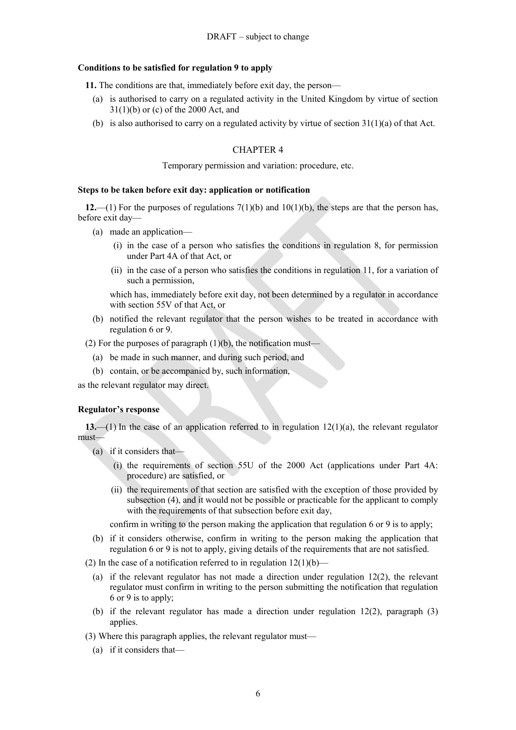#### <span id="page-5-1"></span>**Conditions to be satisfied for regulation [9](#page-4-0) to apply**

**11.** The conditions are that, immediately before exit day, the person—

- (a) is authorised to carry on a regulated activity in the United Kingdom by virtue of section 31(1)(b) or (c) of the 2000 Act, and
- (b) is also authorised to carry on a regulated activity by virtue of section  $31(1)(a)$  of that Act.

## CHAPTER 4

#### Temporary permission and variation: procedure, etc.

#### **Steps to be taken before exit day: application or notification**

<span id="page-5-0"></span>**12.**—(1) For the purposes of regulations [7\(](#page-4-2)1)(b) and [10\(](#page-4-3)1)(b), the steps are that the person has, before exit day—

- (a) made an application—
	- (i) in the case of a person who satisfies the conditions in regulation [8,](#page-4-1) for permission under Part 4A of that Act, or
	- (ii) in the case of a person who satisfies the conditions in regulation [11,](#page-5-1) for a variation of such a permission,

which has, immediately before exit day, not been determined by a regulator in accordance with section 55V of that Act, or

- (b) notified the relevant regulator that the person wishes to be treated in accordance with regulation 6 or [9.](#page-4-0)
- (2) For the purposes of paragraph  $(1)(b)$ , the notification must—
	- (a) be made in such manner, and during such period, and
	- (b) contain, or be accompanied by, such information,

as the relevant regulator may direct.

#### **Regulator's response**

**13.**—(1) In the case of an application referred to in regulation [12\(](#page-5-0)1)(a), the relevant regulator must—

- (a) if it considers that—
	- (i) the requirements of section 55U of the 2000 Act (applications under Part 4A: procedure) are satisfied, or
	- (ii) the requirements of that section are satisfied with the exception of those provided by subsection (4), and it would not be possible or practicable for the applicant to comply with the requirements of that subsection before exit day,

confirm in writing to the person making the application that regulation 6 or [9](#page-4-0) is to apply;

- (b) if it considers otherwise, confirm in writing to the person making the application that regulation 6 or [9](#page-4-0) is not to apply, giving details of the requirements that are not satisfied.
- (2) In the case of a notification referred to in regulation  $12(1)(b)$  $12(1)(b)$ 
	- (a) if the relevant regulator has not made a direction under regulation [12\(](#page-5-0)2), the relevant regulator must confirm in writing to the person submitting the notification that regulation 6 or [9](#page-4-0) is to apply;
	- (b) if the relevant regulator has made a direction under regulation [12\(](#page-5-0)2), paragraph (3) applies.
- (3) Where this paragraph applies, the relevant regulator must—
	- (a) if it considers that—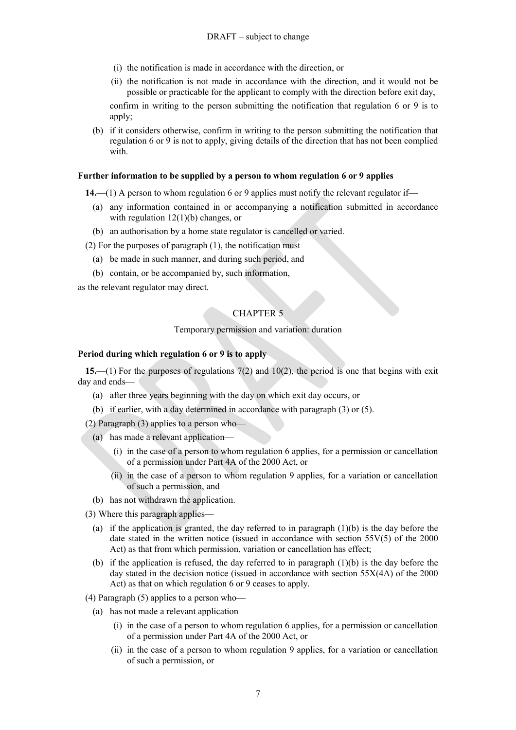- (i) the notification is made in accordance with the direction, or
- (ii) the notification is not made in accordance with the direction, and it would not be possible or practicable for the applicant to comply with the direction before exit day,

confirm in writing to the person submitting the notification that regulation 6 or [9](#page-4-0) is to apply;

(b) if it considers otherwise, confirm in writing to the person submitting the notification that regulation 6 or [9](#page-4-0) is not to apply, giving details of the direction that has not been complied with.

#### **Further information to be supplied by a person to whom regulation 6 or [9](#page-4-0) applies**

**14.**—(1) A person to whom regulation 6 or [9](#page-4-0) applies must notify the relevant regulator if—

- (a) any information contained in or accompanying a notification submitted in accordance with regulation [12\(](#page-5-0)1)(b) changes, or
- (b) an authorisation by a home state regulator is cancelled or varied.

 $(2)$  For the purposes of paragraph  $(1)$ , the notification must-

- (a) be made in such manner, and during such period, and
- (b) contain, or be accompanied by, such information,

as the relevant regulator may direct.

## CHAPTER 5

#### Temporary permission and variation: duration

#### **Period during which regulation 6 or [9](#page-4-0) is to apply**

**15.**—(1) For the purposes of regulations [7\(](#page-4-2)2) and [10\(](#page-4-3)2), the period is one that begins with exit day and ends—

- <span id="page-6-0"></span>(a) after three years beginning with the day on which exit day occurs, or
- (b) if earlier, with a day determined in accordance with paragraph (3) or (5).

(2) Paragraph (3) applies to a person who—

- (a) has made a relevant application—
	- (i) in the case of a person to whom regulation 6 applies, for a permission or cancellation of a permission under Part 4A of the 2000 Act, or
	- (ii) in the case of a person to whom regulation [9](#page-4-0) applies, for a variation or cancellation of such a permission, and
- (b) has not withdrawn the application.
- (3) Where this paragraph applies—
	- (a) if the application is granted, the day referred to in paragraph  $(1)(b)$  is the day before the date stated in the written notice (issued in accordance with section 55V(5) of the 2000 Act) as that from which permission, variation or cancellation has effect;
	- (b) if the application is refused, the day referred to in paragraph (1)(b) is the day before the day stated in the decision notice (issued in accordance with section 55X(4A) of the 2000 Act) as that on which regulation 6 or [9](#page-4-0) ceases to apply.
- (4) Paragraph (5) applies to a person who—
	- (a) has not made a relevant application—
		- (i) in the case of a person to whom regulation 6 applies, for a permission or cancellation of a permission under Part 4A of the 2000 Act, or
		- (ii) in the case of a person to whom regulation [9](#page-4-0) applies, for a variation or cancellation of such a permission, or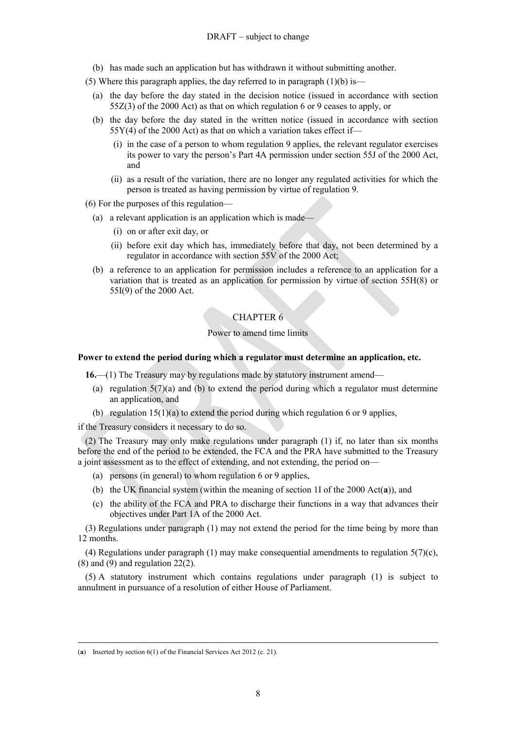(b) has made such an application but has withdrawn it without submitting another.

(5) Where this paragraph applies, the day referred to in paragraph  $(1)(b)$  is—

- (a) the day before the day stated in the decision notice (issued in accordance with section 55Z(3) of the 2000 Act) as that on which regulation 6 or [9](#page-4-0) ceases to apply, or
- (b) the day before the day stated in the written notice (issued in accordance with section  $55Y(4)$  of the 2000 Act) as that on which a variation takes effect if—
	- (i) in the case of a person to whom regulation [9](#page-4-0) applies, the relevant regulator exercises its power to vary the person's Part 4A permission under section 55J of the 2000 Act, and
	- (ii) as a result of the variation, there are no longer any regulated activities for which the person is treated as having permission by virtue of regulation [9.](#page-4-0)
- (6) For the purposes of this regulation—
	- (a) a relevant application is an application which is made—
		- (i) on or after exit day, or
		- (ii) before exit day which has, immediately before that day, not been determined by a regulator in accordance with section 55V of the 2000 Act;
	- (b) a reference to an application for permission includes a reference to an application for a variation that is treated as an application for permission by virtue of section 55H(8) or 55I(9) of the 2000 Act.

### CHAPTER 6

#### Power to amend time limits

#### **Power to extend the period during which a regulator must determine an application, etc.**

**16.**—(1) The Treasury may by regulations made by statutory instrument amend—

- (a) regulation  $5(7)(a)$  and [\(b\)](#page-3-0) to extend the period during which a regulator must determine an application, and
- (b) regulation  $15(1)(a)$  to extend the period during which regulation 6 or [9](#page-4-0) applies,

if the Treasury considers it necessary to do so.

(2) The Treasury may only make regulations under paragraph (1) if, no later than six months before the end of the period to be extended, the FCA and the PRA have submitted to the Treasury a joint assessment as to the effect of extending, and not extending, the period on—

- (a) persons (in general) to whom regulation 6 or [9](#page-4-0) applies,
- (b) the UK financial system (within the meaning of section 1I of the 2000 Act(**a**)), and
- (c) the ability of the FCA and PRA to discharge their functions in a way that advances their objectives under Part 1A of the 2000 Act.

(3) Regulations under paragraph (1) may not extend the period for the time being by more than 12 months.

(4) Regulations under paragraph (1) may make consequential amendments to regulation  $5(7)(c)$ ,  $(8)$  and  $(9)$  and regulation 22 $(2)$ .

(5) A statutory instrument which contains regulations under paragraph (1) is subject to annulment in pursuance of a resolution of either House of Parliament.

<sup>(</sup>**a**) Inserted by section 6(1) of the Financial Services Act 2012 (c. 21).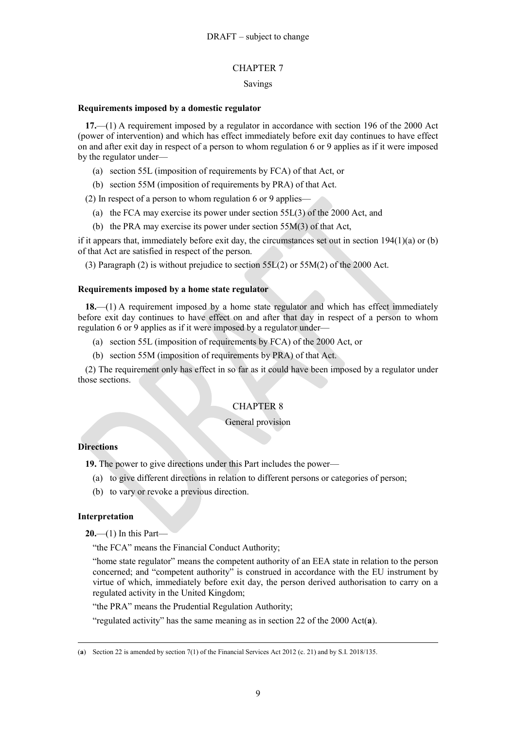## CHAPTER 7

## Savings

## **Requirements imposed by a domestic regulator**

**17.**—(1) A requirement imposed by a regulator in accordance with section 196 of the 2000 Act (power of intervention) and which has effect immediately before exit day continues to have effect on and after exit day in respect of a person to whom regulation [6](#page-3-4) or [9](#page-4-0) applies as if it were imposed by the regulator under—

- (a) section 55L (imposition of requirements by FCA) of that Act, or
- (b) section 55M (imposition of requirements by PRA) of that Act.

(2) In respect of a person to whom regulation [6](#page-3-4) or [9](#page-4-0) applies—

- (a) the FCA may exercise its power under section 55L(3) of the 2000 Act, and
- (b) the PRA may exercise its power under section 55M(3) of that Act,

if it appears that, immediately before exit day, the circumstances set out in section  $194(1)(a)$  or (b) of that Act are satisfied in respect of the person.

(3) Paragraph (2) is without prejudice to section 55L(2) or 55M(2) of the 2000 Act.

## **Requirements imposed by a home state regulator**

**18.**—(1) A requirement imposed by a home state regulator and which has effect immediately before exit day continues to have effect on and after that day in respect of a person to whom regulation [6](#page-3-4) or [9](#page-4-0) applies as if it were imposed by a regulator under—

- (a) section 55L (imposition of requirements by FCA) of the 2000 Act, or
- (b) section 55M (imposition of requirements by PRA) of that Act.

(2) The requirement only has effect in so far as it could have been imposed by a regulator under those sections.

## CHAPTER 8

## General provision

## **Directions**

**19.** The power to give directions under this Part includes the power—

- (a) to give different directions in relation to different persons or categories of person;
- (b) to vary or revoke a previous direction.

## **Interpretation**

**20.**—(1) In this Part—

"the FCA" means the Financial Conduct Authority;

"home state regulator" means the competent authority of an EEA state in relation to the person concerned; and "competent authority" is construed in accordance with the EU instrument by virtue of which, immediately before exit day, the person derived authorisation to carry on a regulated activity in the United Kingdom;

"the PRA" means the Prudential Regulation Authority;

"regulated activity" has the same meaning as in section 22 of the 2000 Act(**a**).

 $\overline{a}$ (**a**) Section 22 is amended by section 7(1) of the Financial Services Act 2012 (c. 21) and by S.I. 2018/135.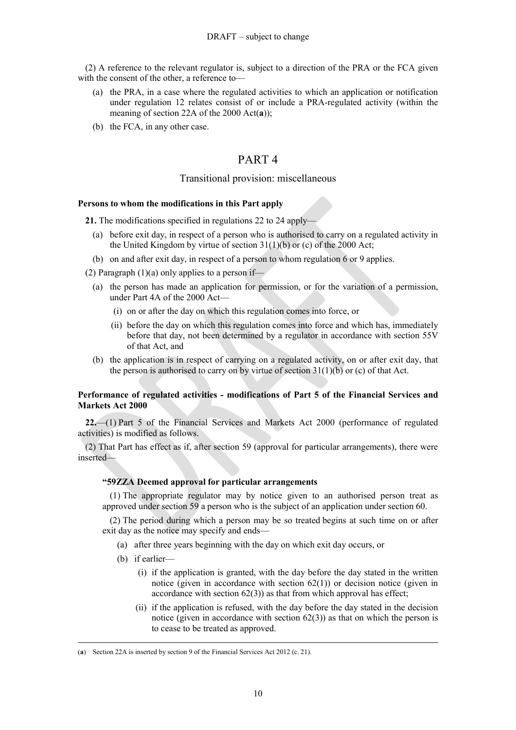(2) A reference to the relevant regulator is, subject to a direction of the PRA or the FCA given with the consent of the other, a reference to—

- (a) the PRA, in a case where the regulated activities to which an application or notification under regulation [12](#page-5-0) relates consist of or include a PRA-regulated activity (within the meaning of section 22A of the 2000 Act(**a**));
- (b) the FCA, in any other case.

## PART 4

## Transitional provision: miscellaneous

#### **Persons to whom the modifications in this Part apply**

**21.** The modifications specified in regulations [22](#page-9-1) to [24](#page-12-0) apply—

- (a) before exit day, in respect of a person who is authorised to carry on a regulated activity in the United Kingdom by virtue of section  $31(1)(b)$  or (c) of the 2000 Act;
- (b) on and after exit day, in respect of a person to whom regulation 6 or [9](#page-4-0) applies.

(2) Paragraph  $(1)(a)$  only applies to a person if—

- (a) the person has made an application for permission, or for the variation of a permission, under Part 4A of the 2000 Act—
	- (i) on or after the day on which this regulation comes into force, or
	- (ii) before the day on which this regulation comes into force and which has, immediately before that day, not been determined by a regulator in accordance with section 55V of that Act, and
- (b) the application is in respect of carrying on a regulated activity, on or after exit day, that the person is authorised to carry on by virtue of section  $31(1)(b)$  or (c) of that Act.

## **Performance of regulated activities - modifications of Part 5 of the Financial Services and Markets Act 2000**

<span id="page-9-1"></span>**22.**—(1) Part 5 of the Financial Services and Markets Act 2000 (performance of regulated activities) is modified as follows.

<span id="page-9-0"></span>(2) That Part has effect as if, after section 59 (approval for particular arrangements), there were inserted—

#### **"59ZZA Deemed approval for particular arrangements**

(1) The appropriate regulator may by notice given to an authorised person treat as approved under section 59 a person who is the subject of an application under section 60.

(2) The period during which a person may be so treated begins at such time on or after exit day as the notice may specify and ends—

- (a) after three years beginning with the day on which exit day occurs, or
- (b) if earlier—

- (i) if the application is granted, with the day before the day stated in the written notice (given in accordance with section  $62(1)$ ) or decision notice (given in accordance with section  $62(3)$  as that from which approval has effect;
- (ii) if the application is refused, with the day before the day stated in the decision notice (given in accordance with section  $62(3)$ ) as that on which the person is to cease to be treated as approved.

<sup>(</sup>**a**) Section 22A is inserted by section 9 of the Financial Services Act 2012 (c. 21).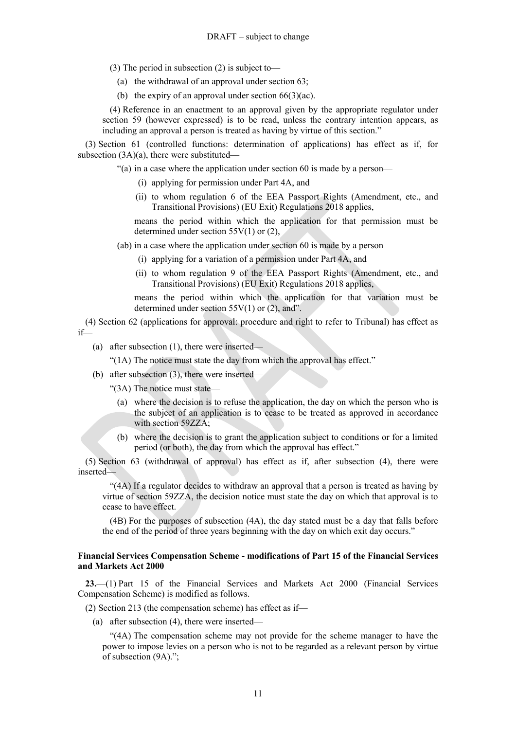- (3) The period in subsection (2) is subject to—
	- (a) the withdrawal of an approval under section 63;
	- (b) the expiry of an approval under section  $66(3)(ac)$ .

(4) Reference in an enactment to an approval given by the appropriate regulator under section 59 (however expressed) is to be read, unless the contrary intention appears, as including an approval a person is treated as having by virtue of this section."

(3) Section 61 (controlled functions: determination of applications) has effect as if, for subsection (3A)(a), there were substituted—

"(a) in a case where the application under section 60 is made by a person—

- (i) applying for permission under Part 4A, and
- (ii) to whom regulation 6 of the EEA Passport Rights (Amendment, etc., and Transitional Provisions) (EU Exit) Regulations 2018 applies,

means the period within which the application for that permission must be determined under section 55V(1) or (2),

(ab) in a case where the application under section 60 is made by a person—

- (i) applying for a variation of a permission under Part 4A, and
- (ii) to whom regulation [9](#page-4-0) of the EEA Passport Rights (Amendment, etc., and Transitional Provisions) (EU Exit) Regulations 2018 applies,

means the period within which the application for that variation must be determined under section  $55V(1)$  or (2), and".

(4) Section 62 (applications for approval: procedure and right to refer to Tribunal) has effect as if—

(a) after subsection (1), there were inserted—

"(1A) The notice must state the day from which the approval has effect."

(b) after subsection (3), there were inserted—

"(3A) The notice must state—

- (a) where the decision is to refuse the application, the day on which the person who is the subject of an application is to cease to be treated as approved in accordance with section 59ZZA;
- (b) where the decision is to grant the application subject to conditions or for a limited period (or both), the day from which the approval has effect."

(5) Section 63 (withdrawal of approval) has effect as if, after subsection (4), there were inserted—

"(4A) If a regulator decides to withdraw an approval that a person is treated as having by virtue of section 59ZZA, the decision notice must state the day on which that approval is to cease to have effect.

(4B) For the purposes of subsection (4A), the day stated must be a day that falls before the end of the period of three years beginning with the day on which exit day occurs."

## **Financial Services Compensation Scheme - modifications of Part 15 of the Financial Services and Markets Act 2000**

<span id="page-10-0"></span>**23.**—(1) Part 15 of the Financial Services and Markets Act 2000 (Financial Services Compensation Scheme) is modified as follows.

- (2) Section 213 (the compensation scheme) has effect as if—
	- (a) after subsection (4), there were inserted—

"(4A) The compensation scheme may not provide for the scheme manager to have the power to impose levies on a person who is not to be regarded as a relevant person by virtue of subsection (9A).";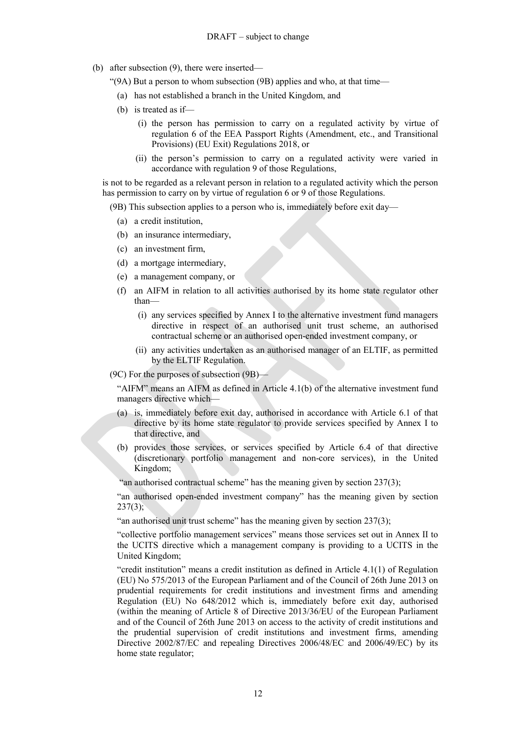(b) after subsection (9), there were inserted—

"(9A) But a person to whom subsection (9B) applies and who, at that time—

- (a) has not established a branch in the United Kingdom, and
- (b) is treated as if—
	- (i) the person has permission to carry on a regulated activity by virtue of regulation 6 of the EEA Passport Rights (Amendment, etc., and Transitional Provisions) (EU Exit) Regulations 2018, or
	- (ii) the person's permission to carry on a regulated activity were varied in accordance with regulation [9](#page-4-0) of those Regulations,

is not to be regarded as a relevant person in relation to a regulated activity which the person has permission to carry on by virtue of regulation 6 or [9](#page-4-0) of those Regulations.

(9B) This subsection applies to a person who is, immediately before exit day—

- (a) a credit institution,
- (b) an insurance intermediary,
- (c) an investment firm,
- (d) a mortgage intermediary,
- (e) a management company, or
- (f) an AIFM in relation to all activities authorised by its home state regulator other than—
	- (i) any services specified by Annex I to the alternative investment fund managers directive in respect of an authorised unit trust scheme, an authorised contractual scheme or an authorised open-ended investment company, or
	- (ii) any activities undertaken as an authorised manager of an ELTIF, as permitted by the ELTIF Regulation.

(9C) For the purposes of subsection (9B)—

"AIFM" means an AIFM as defined in Article 4.1(b) of the alternative investment fund managers directive which—

- (a) is, immediately before exit day, authorised in accordance with Article 6.1 of that directive by its home state regulator to provide services specified by Annex I to that directive, and
- (b) provides those services, or services specified by Article 6.4 of that directive (discretionary portfolio management and non-core services), in the United Kingdom;

"an authorised contractual scheme" has the meaning given by section 237(3);

"an authorised open-ended investment company" has the meaning given by section  $237(3);$ 

"an authorised unit trust scheme" has the meaning given by section 237(3);

"collective portfolio management services" means those services set out in Annex II to the UCITS directive which a management company is providing to a UCITS in the United Kingdom;

"credit institution" means a credit institution as defined in Article 4.1(1) of Regulation (EU) No 575/2013 of the European Parliament and of the Council of 26th June 2013 on prudential requirements for credit institutions and investment firms and amending Regulation (EU) No 648/2012 which is, immediately before exit day, authorised (within the meaning of Article 8 of Directive 2013/36/EU of the European Parliament and of the Council of 26th June 2013 on access to the activity of credit institutions and the prudential supervision of credit institutions and investment firms, amending Directive 2002/87/EC and repealing Directives 2006/48/EC and 2006/49/EC) by its home state regulator;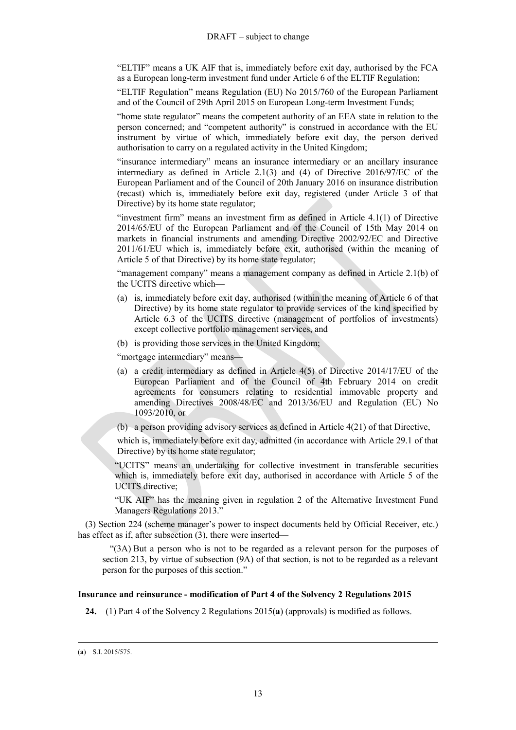"ELTIF" means a UK AIF that is, immediately before exit day, authorised by the FCA as a European long-term investment fund under Article 6 of the ELTIF Regulation;

"ELTIF Regulation" means Regulation (EU) No 2015/760 of the European Parliament and of the Council of 29th April 2015 on European Long-term Investment Funds;

"home state regulator" means the competent authority of an EEA state in relation to the person concerned; and "competent authority" is construed in accordance with the EU instrument by virtue of which, immediately before exit day, the person derived authorisation to carry on a regulated activity in the United Kingdom;

"insurance intermediary" means an insurance intermediary or an ancillary insurance intermediary as defined in Article 2.1(3) and (4) of Directive 2016/97/EC of the European Parliament and of the Council of 20th January 2016 on insurance distribution (recast) which is, immediately before exit day, registered (under Article 3 of that Directive) by its home state regulator;

"investment firm" means an investment firm as defined in Article 4.1(1) of Directive 2014/65/EU of the European Parliament and of the Council of 15th May 2014 on markets in financial instruments and amending Directive 2002/92/EC and Directive 2011/61/EU which is, immediately before exit, authorised (within the meaning of Article 5 of that Directive) by its home state regulator;

"management company" means a management company as defined in Article 2.1(b) of the UCITS directive which—

- (a) is, immediately before exit day, authorised (within the meaning of Article 6 of that Directive) by its home state regulator to provide services of the kind specified by Article 6.3 of the UCITS directive (management of portfolios of investments) except collective portfolio management services, and
- (b) is providing those services in the United Kingdom;

"mortgage intermediary" means—

- (a) a credit intermediary as defined in Article 4(5) of Directive 2014/17/EU of the European Parliament and of the Council of 4th February 2014 on credit agreements for consumers relating to residential immovable property and amending Directives 2008/48/EC and 2013/36/EU and Regulation (EU) No 1093/2010, or
- (b) a person providing advisory services as defined in Article 4(21) of that Directive,

which is, immediately before exit day, admitted (in accordance with Article 29.1 of that Directive) by its home state regulator;

"UCITS" means an undertaking for collective investment in transferable securities which is, immediately before exit day, authorised in accordance with Article 5 of the UCITS directive;

"UK AIF" has the meaning given in regulation 2 of the Alternative Investment Fund Managers Regulations 2013."

(3) Section 224 (scheme manager's power to inspect documents held by Official Receiver, etc.) has effect as if, after subsection (3), there were inserted—

"(3A) But a person who is not to be regarded as a relevant person for the purposes of section 213, by virtue of subsection (9A) of that section, is not to be regarded as a relevant person for the purposes of this section."

## <span id="page-12-0"></span>**Insurance and reinsurance - modification of Part 4 of the Solvency 2 Regulations 2015**

**24.**—(1) Part 4 of the Solvency 2 Regulations 2015(**a**) (approvals) is modified as follows.

 $\overline{a}$ (**a**) S.I. 2015/575.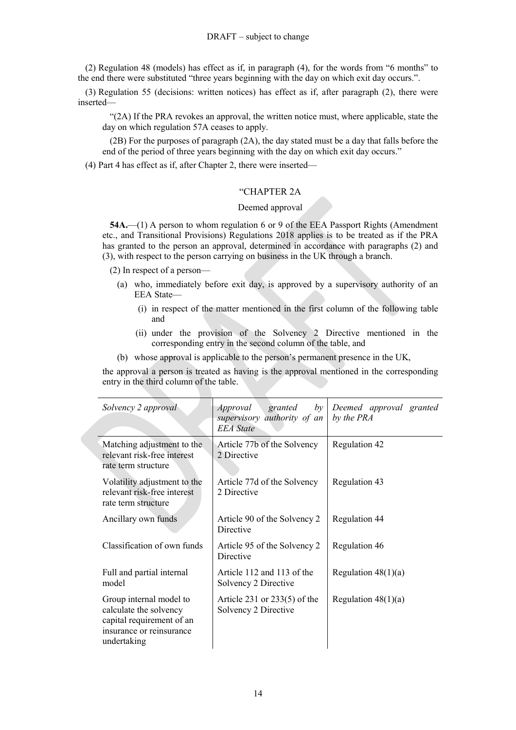(2) Regulation 48 (models) has effect as if, in paragraph (4), for the words from "6 months" to the end there were substituted "three years beginning with the day on which exit day occurs.".

(3) Regulation 55 (decisions: written notices) has effect as if, after paragraph (2), there were inserted—

"(2A) If the PRA revokes an approval, the written notice must, where applicable, state the day on which regulation 57A ceases to apply.

(2B) For the purposes of paragraph (2A), the day stated must be a day that falls before the end of the period of three years beginning with the day on which exit day occurs."

(4) Part 4 has effect as if, after Chapter 2, there were inserted—

### "CHAPTER 2A

## Deemed approval

**54A.**—(1) A person to whom regulation [6](#page-3-4) or [9](#page-4-0) of the EEA Passport Rights (Amendment etc., and Transitional Provisions) Regulations 2018 applies is to be treated as if the PRA has granted to the person an approval, determined in accordance with paragraphs (2) and (3), with respect to the person carrying on business in the UK through a branch.

- (2) In respect of a person—
	- (a) who, immediately before exit day, is approved by a supervisory authority of an EEA State—
		- (i) in respect of the matter mentioned in the first column of the following table and
		- (ii) under the provision of the Solvency 2 Directive mentioned in the corresponding entry in the second column of the table, and
	- (b) whose approval is applicable to the person's permanent presence in the UK,

the approval a person is treated as having is the approval mentioned in the corresponding entry in the third column of the table.

| Solvency 2 approval                                                                                                       | Approval<br>granted<br>by<br>supervisory authority of an<br><b>EEA</b> State | Deemed approval granted<br>by the PRA |
|---------------------------------------------------------------------------------------------------------------------------|------------------------------------------------------------------------------|---------------------------------------|
| Matching adjustment to the<br>relevant risk-free interest<br>rate term structure                                          | Article 77b of the Solvency<br>2 Directive                                   | Regulation 42                         |
| Volatility adjustment to the<br>relevant risk-free interest<br>rate term structure                                        | Article 77d of the Solvency<br>2 Directive                                   | Regulation 43                         |
| Ancillary own funds                                                                                                       | Article 90 of the Solvency 2<br>Directive                                    | Regulation 44                         |
| Classification of own funds                                                                                               | Article 95 of the Solvency 2<br>Directive                                    | Regulation 46                         |
| Full and partial internal<br>model                                                                                        | Article 112 and 113 of the<br>Solvency 2 Directive                           | Regulation $48(1)(a)$                 |
| Group internal model to<br>calculate the solvency<br>capital requirement of an<br>insurance or reinsurance<br>undertaking | Article $231$ or $233(5)$ of the<br>Solvency 2 Directive                     | Regulation $48(1)(a)$                 |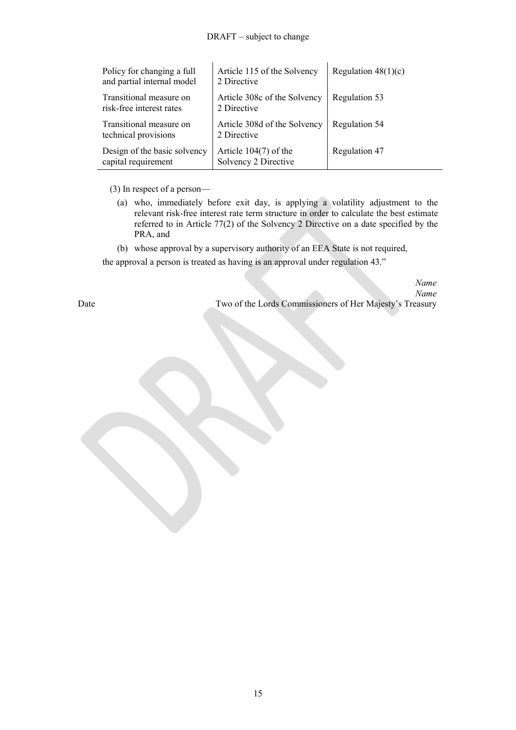## DRAFT – subject to change

| Policy for changing a full<br>and partial internal model | Article 115 of the Solvency<br>2 Directive      | Regulation $48(1)(c)$ |
|----------------------------------------------------------|-------------------------------------------------|-----------------------|
| Transitional measure on<br>risk-free interest rates      | Article 308c of the Solvency<br>2 Directive     | Regulation 53         |
| Transitional measure on<br>technical provisions          | Article 308d of the Solvency<br>2 Directive     | Regulation 54         |
| Design of the basic solvency<br>capital requirement      | Article $104(7)$ of the<br>Solvency 2 Directive | Regulation 47         |

(3) In respect of a person—

- (a) who, immediately before exit day, is applying a volatility adjustment to the relevant risk-free interest rate term structure in order to calculate the best estimate referred to in Article 77(2) of the Solvency 2 Directive on a date specified by the PRA, and
- (b) whose approval by a supervisory authority of an EEA State is not required,

the approval a person is treated as having is an approval under regulation 43."

*Name Name* Date Two of the Lords Commissioners of Her Majesty's Treasury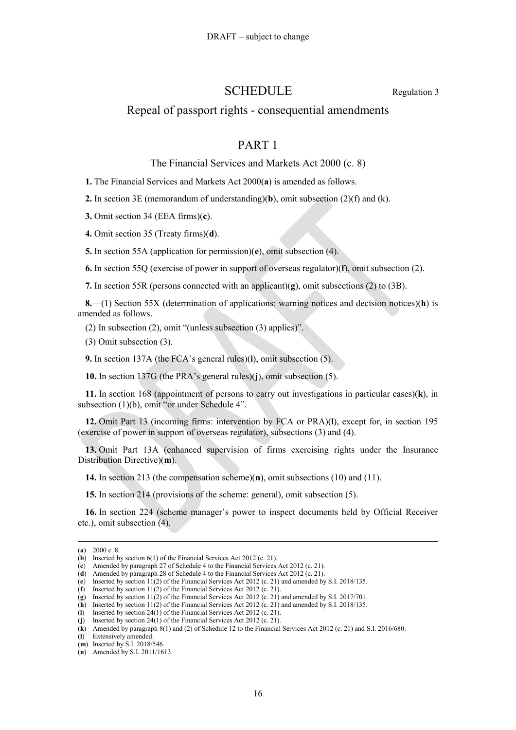## SCHEDULE Regulation [3](#page-1-1)

## Repeal of passport rights - consequential amendments

## PART 1

#### The Financial Services and Markets Act 2000 (c. 8)

**1.** The Financial Services and Markets Act 2000(**a**) is amended as follows.

**2.** In section 3E (memorandum of understanding)(**b**), omit subsection (2)(f) and (k).

**3.** Omit section 34 (EEA firms)(**c**).

**4.** Omit section 35 (Treaty firms)(**d**).

**5.** In section 55A (application for permission)(**e**), omit subsection (4).

**6.** In section 55Q (exercise of power in support of overseas regulator)(**f**), omit subsection (2).

**7.** In section 55R (persons connected with an applicant)(**g**), omit subsections (2) to (3B).

**8.**—(1) Section 55X (determination of applications: warning notices and decision notices)(**h**) is amended as follows.

(2) In subsection (2), omit "(unless subsection (3) applies)".

(3) Omit subsection (3).

**9.** In section 137A (the FCA's general rules)(**i**), omit subsection (5).

**10.** In section 137G (the PRA's general rules)(**j**), omit subsection (5).

**11.** In section 168 (appointment of persons to carry out investigations in particular cases)(**k**), in subsection (1)(b), omit "or under Schedule 4".

**12.** Omit Part 13 (incoming firms: intervention by FCA or PRA)(**l**), except for, in section 195 (exercise of power in support of overseas regulator), subsections (3) and (4).

**13.** Omit Part 13A (enhanced supervision of firms exercising rights under the Insurance Distribution Directive)(**m**).

**14.** In section 213 (the compensation scheme)(**n**), omit subsections (10) and (11).

**15.** In section 214 (provisions of the scheme: general), omit subsection (5).

**16.** In section 224 (scheme manager's power to inspect documents held by Official Receiver etc.), omit subsection (4).

<sup>(</sup>**a**) 2000 c. 8.

<sup>(</sup>**b**) Inserted by section 6(1) of the Financial Services Act 2012 (c. 21).

<sup>(</sup>**c**) Amended by paragraph 27 of Schedule 4 to the Financial Services Act 2012 (c. 21).

<sup>(</sup>**d**) Amended by paragraph 28 of Schedule 4 to the Financial Services Act 2012 (c. 21). (**e**) Inserted by section 11(2) of the Financial Services Act 2012 (c. 21) and amended by S.I. 2018/135.

<sup>(</sup>**f**) Inserted by section 11(2) of the Financial Services Act 2012 (c. 21).

<sup>(</sup>**g**) Inserted by section 11(2) of the Financial Services Act 2012 (c. 21) and amended by S.I. 2017/701.

<sup>(</sup>**h**) Inserted by section 11(2) of the Financial Services Act 2012 (c. 21) and amended by S.I. 2018/135.

<sup>(</sup>**i**) Inserted by section 24(1) of the Financial Services Act 2012 (c. 21).<br>(**j**) Inserted by section 24(1) of the Financial Services Act 2012 (c. 21).

<sup>(</sup>**j**) Inserted by section 24(1) of the Financial Services Act 2012 (c. 21).

<sup>(</sup>**k**) Amended by paragraph 8(1) and (2) of Schedule 12 to the Financial Services Act 2012 (c. 21) and S.I. 2016/680.

<sup>(</sup>**l**) Extensively amended.

<sup>(</sup>**m**) Inserted by S.I. 2018/546.

<sup>(</sup>**n**) Amended by S.I. 2011/1613.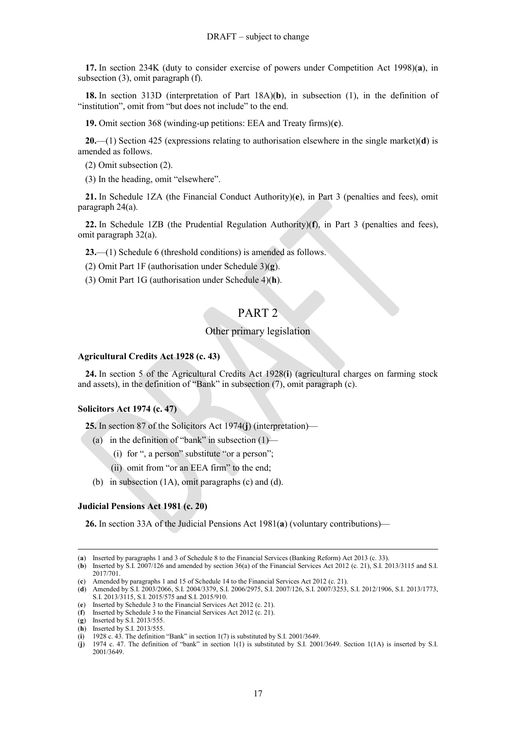**17.** In section 234K (duty to consider exercise of powers under Competition Act 1998)(**a**), in subsection (3), omit paragraph (f).

**18.** In section 313D (interpretation of Part 18A)(**b**), in subsection (1), in the definition of "institution", omit from "but does not include" to the end.

**19.** Omit section 368 (winding-up petitions: EEA and Treaty firms)(**c**).

**20.**—(1) Section 425 (expressions relating to authorisation elsewhere in the single market)(**d**) is amended as follows.

(2) Omit subsection (2).

(3) In the heading, omit "elsewhere".

**21.** In Schedule 1ZA (the Financial Conduct Authority)(**e**), in Part 3 (penalties and fees), omit paragraph 24(a).

**22.** In Schedule 1ZB (the Prudential Regulation Authority)(**f**), in Part 3 (penalties and fees), omit paragraph 32(a).

**23.**—(1) Schedule 6 (threshold conditions) is amended as follows.

(2) Omit Part 1F (authorisation under Schedule 3)(**g**).

(3) Omit Part 1G (authorisation under Schedule 4)(**h**).

# PART 2

## Other primary legislation

#### **Agricultural Credits Act 1928 (c. 43)**

**24.** In section 5 of the Agricultural Credits Act 1928(**i**) (agricultural charges on farming stock and assets), in the definition of "Bank" in subsection (7), omit paragraph (c).

## **Solicitors Act 1974 (c. 47)**

**25.** In section 87 of the Solicitors Act 1974(**j**) (interpretation)—

- (a) in the definition of "bank" in subsection  $(1)$ 
	- (i) for ", a person" substitute "or a person";
	- (ii) omit from "or an EEA firm" to the end;
- (b) in subsection (1A), omit paragraphs (c) and (d).

## **Judicial Pensions Act 1981 (c. 20)**

**26.** In section 33A of the Judicial Pensions Act 1981(**a**) (voluntary contributions)—

<sup>(</sup>**a**) Inserted by paragraphs 1 and 3 of Schedule 8 to the Financial Services (Banking Reform) Act 2013 (c. 33).

<sup>(</sup>**b**) Inserted by S.I. 2007/126 and amended by section 36(a) of the Financial Services Act 2012 (c. 21), S.I. 2013/3115 and S.I. 2017/701.

<sup>(</sup>**c**) Amended by paragraphs 1 and 15 of Schedule 14 to the Financial Services Act 2012 (c. 21).

<sup>(</sup>**d**) Amended by S.I. 2003/2066, S.I. 2004/3379, S.I. 2006/2975, S.I. 2007/126, S.I. 2007/3253, S.I. 2012/1906, S.I. 2013/1773, S.I. 2013/3115, S.I. 2015/575 and S.I. 2015/910.

<sup>(</sup>**e**) Inserted by Schedule 3 to the Financial Services Act 2012 (c. 21).

<sup>(</sup>**f**) Inserted by Schedule 3 to the Financial Services Act 2012 (c. 21).

<sup>(</sup>**g**) Inserted by S.I. 2013/555.

<sup>(</sup>**h**) Inserted by S.I. 2013/555.

 $(i)$  1928 c. 43. The definition "Bank" in section 1(7) is substituted by S.I. 2001/3649.

<sup>(</sup>**j**) 1974 c. 47. The definition of "bank" in section 1(1) is substituted by S.I. 2001/3649. Section 1(1A) is inserted by S.I. 2001/3649.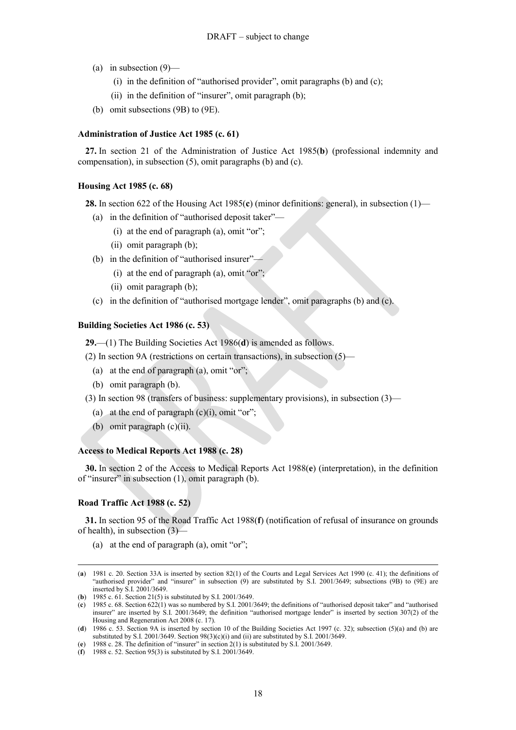- (a) in subsection  $(9)$ 
	- (i) in the definition of "authorised provider", omit paragraphs (b) and (c);
	- (ii) in the definition of "insurer", omit paragraph (b);
- (b) omit subsections (9B) to (9E).

#### **Administration of Justice Act 1985 (c. 61)**

**27.** In section 21 of the Administration of Justice Act 1985(**b**) (professional indemnity and compensation), in subsection (5), omit paragraphs (b) and (c).

## **Housing Act 1985 (c. 68)**

**28.** In section 622 of the Housing Act 1985(**c**) (minor definitions: general), in subsection (1)—

- (a) in the definition of "authorised deposit taker"—
	- (i) at the end of paragraph (a), omit "or";
	- (ii) omit paragraph (b);
- (b) in the definition of "authorised insurer"—
	- (i) at the end of paragraph (a), omit "or";
	- (ii) omit paragraph (b);
- (c) in the definition of "authorised mortgage lender", omit paragraphs (b) and (c).

#### **Building Societies Act 1986 (c. 53)**

**29.**—(1) The Building Societies Act 1986(**d**) is amended as follows.

- (2) In section 9A (restrictions on certain transactions), in subsection (5)—
	- (a) at the end of paragraph (a), omit "or";
	- (b) omit paragraph (b).
- (3) In section 98 (transfers of business: supplementary provisions), in subsection (3)—
	- (a) at the end of paragraph  $(c)(i)$ , omit "or";
	- (b) omit paragraph (c)(ii).

## **Access to Medical Reports Act 1988 (c. 28)**

**30.** In section 2 of the Access to Medical Reports Act 1988(**e**) (interpretation), in the definition of "insurer" in subsection (1), omit paragraph (b).

#### **Road Traffic Act 1988 (c. 52)**

 $\overline{a}$ 

**31.** In section 95 of the Road Traffic Act 1988(**f**) (notification of refusal of insurance on grounds of health), in subsection (3)—

(a) at the end of paragraph (a), omit "or";

<sup>(</sup>**a**) 1981 c. 20. Section 33A is inserted by section 82(1) of the Courts and Legal Services Act 1990 (c. 41); the definitions of "authorised provider" and "insurer" in subsection (9) are substituted by S.I. 2001/3649; subsections (9B) to (9E) are inserted by S.I. 2001/3649.

<sup>(</sup>**b**) 1985 c. 61. Section 21(5) is substituted by S.I. 2001/3649.

<sup>(</sup>**c**) 1985 c. 68. Section 622(1) was so numbered by S.I. 2001/3649; the definitions of "authorised deposit taker" and "authorised insurer" are inserted by S.I. 2001/3649; the definition "authorised mortgage lender" is inserted by section 307(2) of the Housing and Regeneration Act 2008 (c. 17).

<sup>(</sup>**d**) 1986 c. 53. Section 9A is inserted by section 10 of the Building Societies Act 1997 (c. 32); subsection (5)(a) and (b) are substituted by S.I. 2001/3649. Section 98(3)(c)(i) and (ii) are substituted by S.I. 2001/3649.

<sup>(</sup>**e**) 1988 c. 28. The definition of "insurer" in section 2(1) is substituted by S.I. 2001/3649.

<sup>(</sup>**f**) 1988 c. 52. Section 95(3) is substituted by S.I. 2001/3649.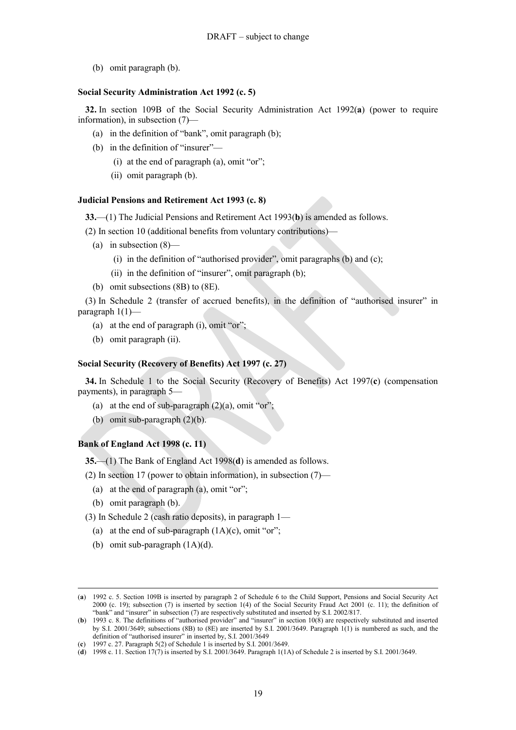(b) omit paragraph (b).

#### **Social Security Administration Act 1992 (c. 5)**

**32.** In section 109B of the Social Security Administration Act 1992(**a**) (power to require information), in subsection (7)—

- (a) in the definition of "bank", omit paragraph (b);
- (b) in the definition of "insurer"—
	- (i) at the end of paragraph (a), omit "or";
	- (ii) omit paragraph (b).

## **Judicial Pensions and Retirement Act 1993 (c. 8)**

**33.**—(1) The Judicial Pensions and Retirement Act 1993(**b**) is amended as follows.

- (2) In section 10 (additional benefits from voluntary contributions)—
	- (a) in subsection  $(8)$ 
		- (i) in the definition of "authorised provider", omit paragraphs (b) and (c);
		- (ii) in the definition of "insurer", omit paragraph (b);
	- (b) omit subsections (8B) to (8E).

(3) In Schedule 2 (transfer of accrued benefits), in the definition of "authorised insurer" in paragraph 1(1)—

- (a) at the end of paragraph (i), omit "or";
- (b) omit paragraph (ii).

## **Social Security (Recovery of Benefits) Act 1997 (c. 27)**

**34.** In Schedule 1 to the Social Security (Recovery of Benefits) Act 1997(**c**) (compensation payments), in paragraph 5—

- (a) at the end of sub-paragraph  $(2)(a)$ , omit "or";
- (b) omit sub-paragraph (2)(b).

## **Bank of England Act 1998 (c. 11)**

**35.**—(1) The Bank of England Act 1998(**d**) is amended as follows.

(2) In section 17 (power to obtain information), in subsection (7)—

- (a) at the end of paragraph (a), omit "or";
- (b) omit paragraph (b).

 $\overline{a}$ 

(3) In Schedule 2 (cash ratio deposits), in paragraph 1—

- (a) at the end of sub-paragraph  $(1A)(c)$ , omit "or";
- (b) omit sub-paragraph (1A)(d).

<sup>(</sup>**a**) 1992 c. 5. Section 109B is inserted by paragraph 2 of Schedule 6 to the Child Support, Pensions and Social Security Act 2000 (c. 19); subsection (7) is inserted by section 1(4) of the Social Security Fraud Act 2001 (c. 11); the definition of "bank" and "insurer" in subsection (7) are respectively substituted and inserted by S.I. 2002/817.

<sup>(</sup>**b**) 1993 c. 8. The definitions of "authorised provider" and "insurer" in section 10(8) are respectively substituted and inserted by S.I. 2001/3649; subsections (8B) to (8E) are inserted by S.I. 2001/3649. Paragraph 1(1) is numbered as such, and the definition of "authorised insurer" in inserted by, S.I. 2001/3649

<sup>(</sup>**c**) 1997 c. 27. Paragraph 5(2) of Schedule 1 is inserted by S.I. 2001/3649.

<sup>(</sup>**d**) 1998 c. 11. Section 17(7) is inserted by S.I. 2001/3649. Paragraph 1(1A) of Schedule 2 is inserted by S.I. 2001/3649.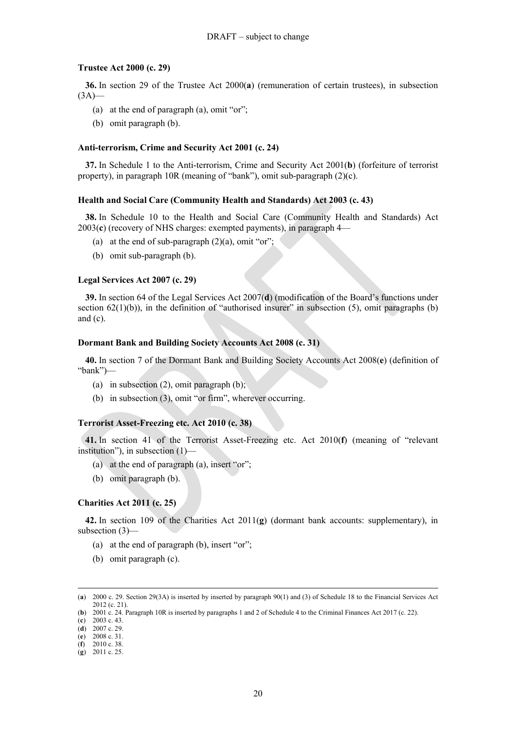#### **Trustee Act 2000 (c. 29)**

**36.** In section 29 of the Trustee Act 2000(**a**) (remuneration of certain trustees), in subsection  $(3A)$ 

- (a) at the end of paragraph (a), omit "or";
- (b) omit paragraph (b).

#### **Anti-terrorism, Crime and Security Act 2001 (c. 24)**

**37.** In Schedule 1 to the Anti-terrorism, Crime and Security Act 2001(**b**) (forfeiture of terrorist property), in paragraph 10R (meaning of "bank"), omit sub-paragraph (2)(c).

#### **Health and Social Care (Community Health and Standards) Act 2003 (c. 43)**

**38.** In Schedule 10 to the Health and Social Care (Community Health and Standards) Act 2003(**c**) (recovery of NHS charges: exempted payments), in paragraph 4—

- (a) at the end of sub-paragraph  $(2)(a)$ , omit "or";
- (b) omit sub-paragraph (b).

#### **Legal Services Act 2007 (c. 29)**

**39.** In section 64 of the Legal Services Act 2007(**d**) (modification of the Board's functions under section  $62(1)(b)$ ), in the definition of "authorised insurer" in subsection (5), omit paragraphs (b) and  $(c)$ .

#### **Dormant Bank and Building Society Accounts Act 2008 (c. 31)**

**40.** In section 7 of the Dormant Bank and Building Society Accounts Act 2008(**e**) (definition of "bank")—

- (a) in subsection (2), omit paragraph (b);
- (b) in subsection (3), omit "or firm", wherever occurring.

#### **Terrorist Asset-Freezing etc. Act 2010 (c. 38)**

**41.** In section 41 of the Terrorist Asset-Freezing etc. Act 2010(**f**) (meaning of "relevant institution"), in subsection (1)—

- (a) at the end of paragraph (a), insert "or";
- (b) omit paragraph (b).

#### **Charities Act 2011 (c. 25)**

**42.** In section 109 of the Charities Act 2011(**g**) (dormant bank accounts: supplementary), in subsection (3)—

- (a) at the end of paragraph (b), insert "or";
- (b) omit paragraph (c).

<sup>(</sup>**a**) 2000 c. 29. Section 29(3A) is inserted by inserted by paragraph 90(1) and (3) of Schedule 18 to the Financial Services Act 2012 (c. 21).

<sup>(</sup>**b**) 2001 c. 24. Paragraph 10R is inserted by paragraphs 1 and 2 of Schedule 4 to the Criminal Finances Act 2017 (c. 22).

<sup>(</sup>**c**) 2003 c. 43. (**d**) 2007 c. 29.

<sup>(</sup>**e**) 2008 c. 31.

<sup>(</sup>**f**) 2010 c. 38.

<sup>(</sup>**g**) 2011 c. 25.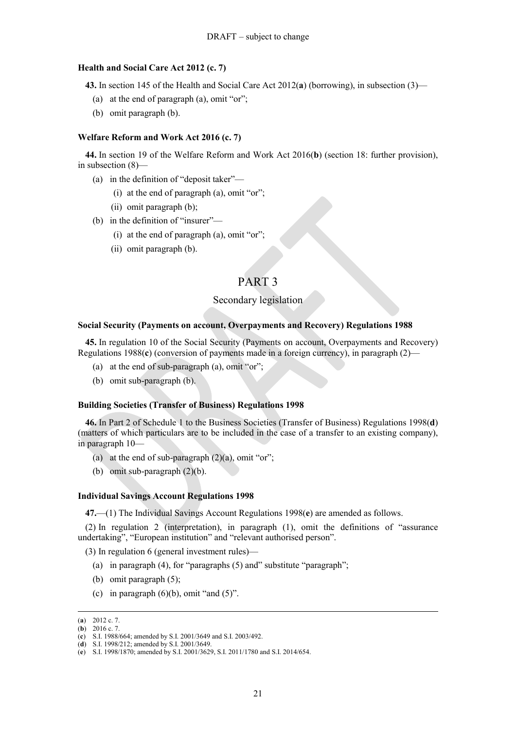#### **Health and Social Care Act 2012 (c. 7)**

**43.** In section 145 of the Health and Social Care Act 2012(**a**) (borrowing), in subsection (3)—

- (a) at the end of paragraph (a), omit "or";
- (b) omit paragraph (b).

#### **Welfare Reform and Work Act 2016 (c. 7)**

**44.** In section 19 of the Welfare Reform and Work Act 2016(**b**) (section 18: further provision), in subsection (8)—

- (a) in the definition of "deposit taker"—
	- (i) at the end of paragraph (a), omit "or";
	- (ii) omit paragraph (b);
- (b) in the definition of "insurer"—
	- (i) at the end of paragraph (a), omit "or";
	- (ii) omit paragraph (b).

## PART 3

## Secondary legislation

#### **Social Security (Payments on account, Overpayments and Recovery) Regulations 1988**

**45.** In regulation 10 of the Social Security (Payments on account, Overpayments and Recovery) Regulations 1988(**c**) (conversion of payments made in a foreign currency), in paragraph (2)—

- (a) at the end of sub-paragraph (a), omit "or";
- (b) omit sub-paragraph (b).

#### **Building Societies (Transfer of Business) Regulations 1998**

**46.** In Part 2 of Schedule 1 to the Business Societies (Transfer of Business) Regulations 1998(**d**) (matters of which particulars are to be included in the case of a transfer to an existing company), in paragraph 10—

- (a) at the end of sub-paragraph  $(2)(a)$ , omit "or";
- (b) omit sub-paragraph (2)(b).

#### **Individual Savings Account Regulations 1998**

**47.**—(1) The Individual Savings Account Regulations 1998(**e**) are amended as follows.

(2) In regulation 2 (interpretation), in paragraph (1), omit the definitions of "assurance undertaking", "European institution" and "relevant authorised person".

(3) In regulation 6 (general investment rules)—

- (a) in paragraph (4), for "paragraphs (5) and" substitute "paragraph";
- (b) omit paragraph (5);
- (c) in paragraph  $(6)(b)$ , omit "and  $(5)$ ".

<sup>(</sup>**a**) 2012 c. 7.

<sup>(</sup>**b**) 2016 c. 7.

<sup>(</sup>**c**) S.I. 1988/664; amended by S.I. 2001/3649 and S.I. 2003/492.

<sup>(</sup>**d**) S.I. 1998/212; amended by S.I. 2001/3649.

<sup>(</sup>**e**) S.I. 1998/1870; amended by S.I. 2001/3629, S.I. 2011/1780 and S.I. 2014/654.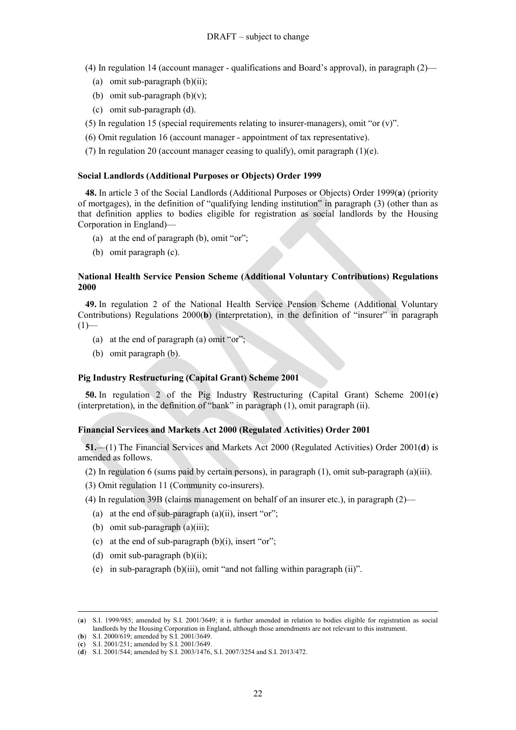(4) In regulation 14 (account manager - qualifications and Board's approval), in paragraph (2)—

- (a) omit sub-paragraph  $(b)(ii)$ ;
- (b) omit sub-paragraph  $(b)(v)$ ;
- (c) omit sub-paragraph (d).
- (5) In regulation 15 (special requirements relating to insurer-managers), omit "or  $(v)$ ".
- (6) Omit regulation 16 (account manager appointment of tax representative).
- (7) In regulation 20 (account manager ceasing to qualify), omit paragraph (1)(e).

## **Social Landlords (Additional Purposes or Objects) Order 1999**

**48.** In article 3 of the Social Landlords (Additional Purposes or Objects) Order 1999(**a**) (priority of mortgages), in the definition of "qualifying lending institution" in paragraph (3) (other than as that definition applies to bodies eligible for registration as social landlords by the Housing Corporation in England)—

- (a) at the end of paragraph (b), omit "or";
- (b) omit paragraph (c).

## **National Health Service Pension Scheme (Additional Voluntary Contributions) Regulations 2000**

**49.** In regulation 2 of the National Health Service Pension Scheme (Additional Voluntary Contributions) Regulations 2000(**b**) (interpretation), in the definition of "insurer" in paragraph  $(1)$ —

- (a) at the end of paragraph (a) omit "or";
- (b) omit paragraph (b).

## **Pig Industry Restructuring (Capital Grant) Scheme 2001**

**50.** In regulation 2 of the Pig Industry Restructuring (Capital Grant) Scheme 2001(**c**) (interpretation), in the definition of "bank" in paragraph (1), omit paragraph (ii).

#### **Financial Services and Markets Act 2000 (Regulated Activities) Order 2001**

**51.**—(1) The Financial Services and Markets Act 2000 (Regulated Activities) Order 2001(**d**) is amended as follows.

- (2) In regulation 6 (sums paid by certain persons), in paragraph (1), omit sub-paragraph (a)(iii).
- (3) Omit regulation 11 (Community co-insurers).
- (4) In regulation 39B (claims management on behalf of an insurer etc.), in paragraph (2)—
	- (a) at the end of sub-paragraph  $(a)(ii)$ , insert "or";
	- (b) omit sub-paragraph (a)(iii);
	- (c) at the end of sub-paragraph  $(b)(i)$ , insert "or";
	- (d) omit sub-paragraph  $(b)(ii)$ ;
	- (e) in sub-paragraph (b)(iii), omit "and not falling within paragraph (ii)".

<sup>(</sup>**a**) S.I. 1999/985; amended by S.I. 2001/3649; it is further amended in relation to bodies eligible for registration as social landlords by the Housing Corporation in England, although those amendments are not relevant to this instrument. (**b**) S.I. 2000/619; amended by S.I. 2001/3649.

<sup>(</sup>**c**) S.I. 2001/251; amended by S.I. 2001/3649.

<sup>(</sup>**d**) S.I. 2001/544; amended by S.I. 2003/1476, S.I. 2007/3254 and S.I. 2013/472.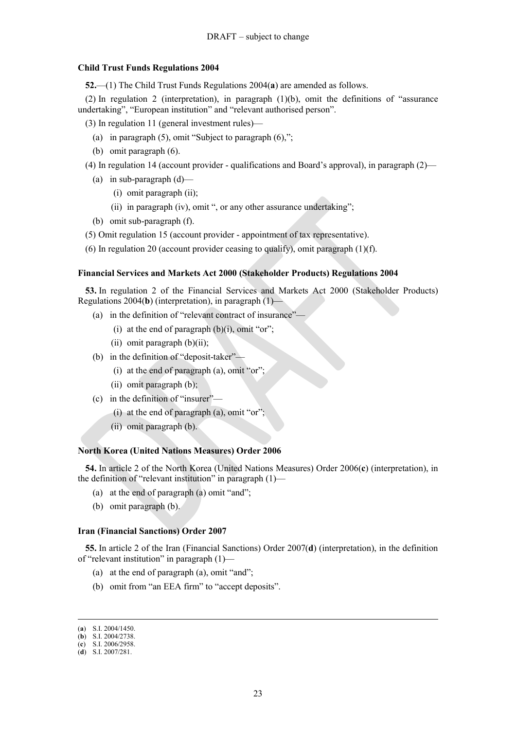#### **Child Trust Funds Regulations 2004**

**52.**—(1) The Child Trust Funds Regulations 2004(**a**) are amended as follows.

(2) In regulation 2 (interpretation), in paragraph (1)(b), omit the definitions of "assurance undertaking", "European institution" and "relevant authorised person".

(3) In regulation 11 (general investment rules)—

- (a) in paragraph (5), omit "Subject to paragraph (6),";
- (b) omit paragraph (6).
- (4) In regulation 14 (account provider qualifications and Board's approval), in paragraph (2)—
	- (a) in sub-paragraph  $(d)$ 
		- (i) omit paragraph (ii);
		- (ii) in paragraph (iv), omit ", or any other assurance undertaking";
	- (b) omit sub-paragraph (f).
- (5) Omit regulation 15 (account provider appointment of tax representative).
- (6) In regulation 20 (account provider ceasing to qualify), omit paragraph (1)(f).

### **Financial Services and Markets Act 2000 (Stakeholder Products) Regulations 2004**

**53.** In regulation 2 of the Financial Services and Markets Act 2000 (Stakeholder Products) Regulations 2004(**b**) (interpretation), in paragraph (1)—

- (a) in the definition of "relevant contract of insurance"—
	- (i) at the end of paragraph  $(b)(i)$ , omit "or";
	- (ii) omit paragraph  $(b)(ii)$ ;
- (b) in the definition of "deposit-taker"—
	- (i) at the end of paragraph (a), omit "or";
	- (ii) omit paragraph (b);
- (c) in the definition of "insurer"
	- (i) at the end of paragraph (a), omit "or";
	- (ii) omit paragraph (b).

#### **North Korea (United Nations Measures) Order 2006**

**54.** In article 2 of the North Korea (United Nations Measures) Order 2006(**c**) (interpretation), in the definition of "relevant institution" in paragraph (1)—

- (a) at the end of paragraph (a) omit "and";
- (b) omit paragraph (b).

#### **Iran (Financial Sanctions) Order 2007**

**55.** In article 2 of the Iran (Financial Sanctions) Order 2007(**d**) (interpretation), in the definition of "relevant institution" in paragraph (1)—

- (a) at the end of paragraph (a), omit "and";
- (b) omit from "an EEA firm" to "accept deposits".

<sup>(</sup>**a**) S.I. 2004/1450.

<sup>(</sup>**b**) S.I. 2004/2738.

<sup>(</sup>**c**) S.I. 2006/2958. (**d**) S.I. 2007/281.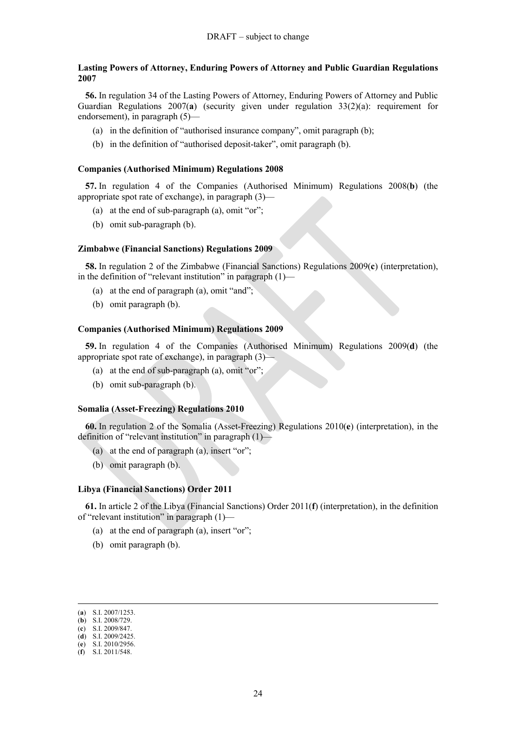#### **Lasting Powers of Attorney, Enduring Powers of Attorney and Public Guardian Regulations 2007**

**56.** In regulation 34 of the Lasting Powers of Attorney, Enduring Powers of Attorney and Public Guardian Regulations 2007(**a**) (security given under regulation 33(2)(a): requirement for endorsement), in paragraph (5)—

- (a) in the definition of "authorised insurance company", omit paragraph (b);
- (b) in the definition of "authorised deposit-taker", omit paragraph (b).

#### **Companies (Authorised Minimum) Regulations 2008**

**57.** In regulation 4 of the Companies (Authorised Minimum) Regulations 2008(**b**) (the appropriate spot rate of exchange), in paragraph (3)—

- (a) at the end of sub-paragraph (a), omit "or";
- (b) omit sub-paragraph (b).

#### **Zimbabwe (Financial Sanctions) Regulations 2009**

**58.** In regulation 2 of the Zimbabwe (Financial Sanctions) Regulations 2009(**c**) (interpretation), in the definition of "relevant institution" in paragraph  $(1)$ —

- (a) at the end of paragraph (a), omit "and";
- (b) omit paragraph (b).

## **Companies (Authorised Minimum) Regulations 2009**

**59.** In regulation 4 of the Companies (Authorised Minimum) Regulations 2009(**d**) (the appropriate spot rate of exchange), in paragraph (3)—

- (a) at the end of sub-paragraph (a), omit "or";
- (b) omit sub-paragraph (b).

### **Somalia (Asset-Freezing) Regulations 2010**

**60.** In regulation 2 of the Somalia (Asset-Freezing) Regulations 2010(**e**) (interpretation), in the definition of "relevant institution" in paragraph (1)—

- (a) at the end of paragraph (a), insert "or";
- (b) omit paragraph (b).

#### **Libya (Financial Sanctions) Order 2011**

**61.** In article 2 of the Libya (Financial Sanctions) Order 2011(**f**) (interpretation), in the definition of "relevant institution" in paragraph (1)—

- (a) at the end of paragraph (a), insert "or";
- (b) omit paragraph (b).

<sup>(</sup>**a**) S.I. 2007/1253.

<sup>(</sup>**b**) S.I. 2008/729. (**c**) S.I. 2009/847.

<sup>(</sup>**d**) S.I. 2009/2425.

<sup>(</sup>**e**) S.I. 2010/2956.

<sup>(</sup>**f**) S.I. 2011/548.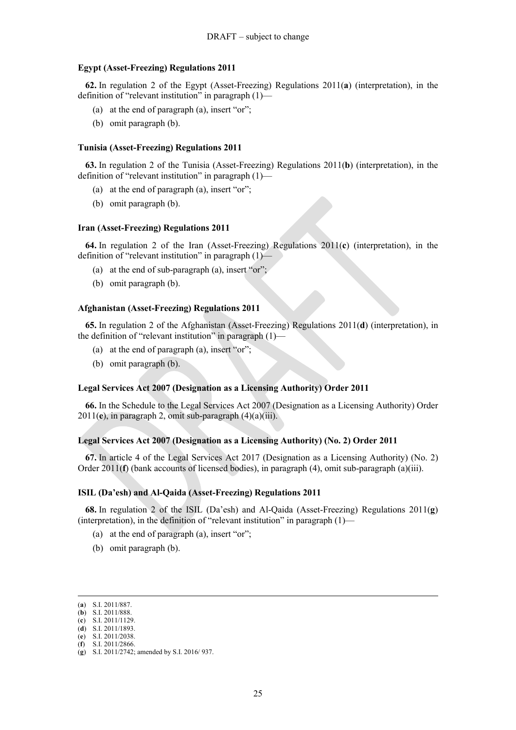#### **Egypt (Asset-Freezing) Regulations 2011**

**62.** In regulation 2 of the Egypt (Asset-Freezing) Regulations 2011(**a**) (interpretation), in the definition of "relevant institution" in paragraph (1)-

- (a) at the end of paragraph (a), insert "or";
- (b) omit paragraph (b).

#### **Tunisia (Asset-Freezing) Regulations 2011**

**63.** In regulation 2 of the Tunisia (Asset-Freezing) Regulations 2011(**b**) (interpretation), in the definition of "relevant institution" in paragraph (1)—

- (a) at the end of paragraph (a), insert "or";
- (b) omit paragraph (b).

## **Iran (Asset-Freezing) Regulations 2011**

**64.** In regulation 2 of the Iran (Asset-Freezing) Regulations 2011(**c**) (interpretation), in the definition of "relevant institution" in paragraph (1)—

- (a) at the end of sub-paragraph (a), insert "or";
- (b) omit paragraph (b).

#### **Afghanistan (Asset-Freezing) Regulations 2011**

**65.** In regulation 2 of the Afghanistan (Asset-Freezing) Regulations 2011(**d**) (interpretation), in the definition of "relevant institution" in paragraph (1)-

- (a) at the end of paragraph (a), insert "or";
- (b) omit paragraph (b).

#### **Legal Services Act 2007 (Designation as a Licensing Authority) Order 2011**

**66.** In the Schedule to the Legal Services Act 2007 (Designation as a Licensing Authority) Order 2011(**e**), in paragraph 2, omit sub-paragraph (4)(a)(iii).

#### **Legal Services Act 2007 (Designation as a Licensing Authority) (No. 2) Order 2011**

**67.** In article 4 of the Legal Services Act 2017 (Designation as a Licensing Authority) (No. 2) Order 2011(**f**) (bank accounts of licensed bodies), in paragraph (4), omit sub-paragraph (a)(iii).

#### **ISIL (Da'esh) and Al-Qaida (Asset-Freezing) Regulations 2011**

**68.** In regulation 2 of the ISIL (Da'esh) and Al-Qaida (Asset-Freezing) Regulations 2011(**g**) (interpretation), in the definition of "relevant institution" in paragraph  $(1)$ —

- (a) at the end of paragraph (a), insert "or";
- (b) omit paragraph (b).

 $\overline{a}$ 

(**f**) S.I. 2011/2866.

<sup>(</sup>**a**) S.I. 2011/887.

<sup>(</sup>**b**) S.I. 2011/888.

<sup>(</sup>**c**) S.I. 2011/1129. (**d**) S.I. 2011/1893.

<sup>(</sup>**e**) S.I. 2011/2038.

<sup>(</sup>**g**) S.I. 2011/2742; amended by S.I. 2016/ 937.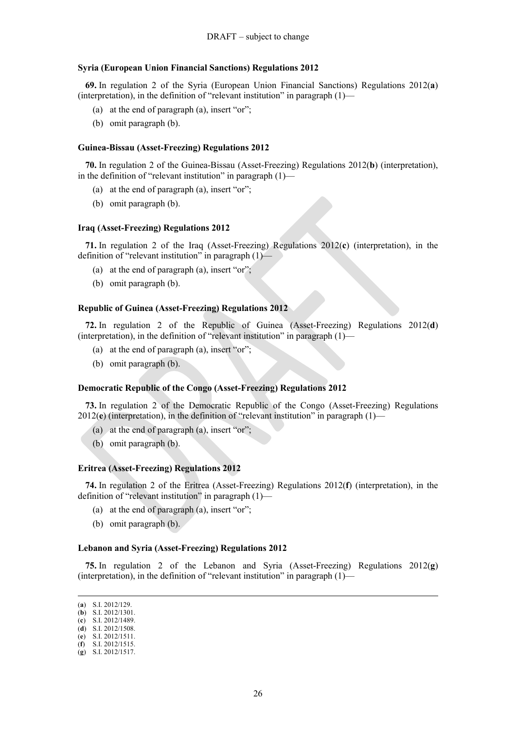#### **Syria (European Union Financial Sanctions) Regulations 2012**

**69.** In regulation 2 of the Syria (European Union Financial Sanctions) Regulations 2012(**a**) (interpretation), in the definition of "relevant institution" in paragraph (1)—

- (a) at the end of paragraph (a), insert "or";
- (b) omit paragraph (b).

#### **Guinea-Bissau (Asset-Freezing) Regulations 2012**

**70.** In regulation 2 of the Guinea-Bissau (Asset-Freezing) Regulations 2012(**b**) (interpretation), in the definition of "relevant institution" in paragraph  $(1)$ —

- (a) at the end of paragraph (a), insert "or";
- (b) omit paragraph (b).

#### **Iraq (Asset-Freezing) Regulations 2012**

**71.** In regulation 2 of the Iraq (Asset-Freezing) Regulations 2012(**c**) (interpretation), in the definition of "relevant institution" in paragraph (1)—

- (a) at the end of paragraph (a), insert "or";
- (b) omit paragraph (b).

#### **Republic of Guinea (Asset-Freezing) Regulations 2012**

**72.** In regulation 2 of the Republic of Guinea (Asset-Freezing) Regulations 2012(**d**) (interpretation), in the definition of "relevant institution" in paragraph (1)—

- (a) at the end of paragraph (a), insert "or";
- (b) omit paragraph (b).

#### **Democratic Republic of the Congo (Asset-Freezing) Regulations 2012**

**73.** In regulation 2 of the Democratic Republic of the Congo (Asset-Freezing) Regulations 2012(**e**) (interpretation), in the definition of "relevant institution" in paragraph (1)—

- (a) at the end of paragraph (a), insert "or";
- (b) omit paragraph (b).

#### **Eritrea (Asset-Freezing) Regulations 2012**

**74.** In regulation 2 of the Eritrea (Asset-Freezing) Regulations 2012(**f**) (interpretation), in the definition of "relevant institution" in paragraph (1)—

- (a) at the end of paragraph (a), insert "or";
- (b) omit paragraph (b).

#### **Lebanon and Syria (Asset-Freezing) Regulations 2012**

**75.** In regulation 2 of the Lebanon and Syria (Asset-Freezing) Regulations 2012(**g**) (interpretation), in the definition of "relevant institution" in paragraph  $(1)$ —

<sup>(</sup>**a**) S.I. 2012/129.

<sup>(</sup>**b**) S.I. 2012/1301. (**c**) S.I. 2012/1489.

<sup>(</sup>**d**) S.I. 2012/1508.

<sup>(</sup>**e**) S.I. 2012/1511.

<sup>(</sup>**f**) S.I. 2012/1515.

<sup>(</sup>**g**) S.I. 2012/1517.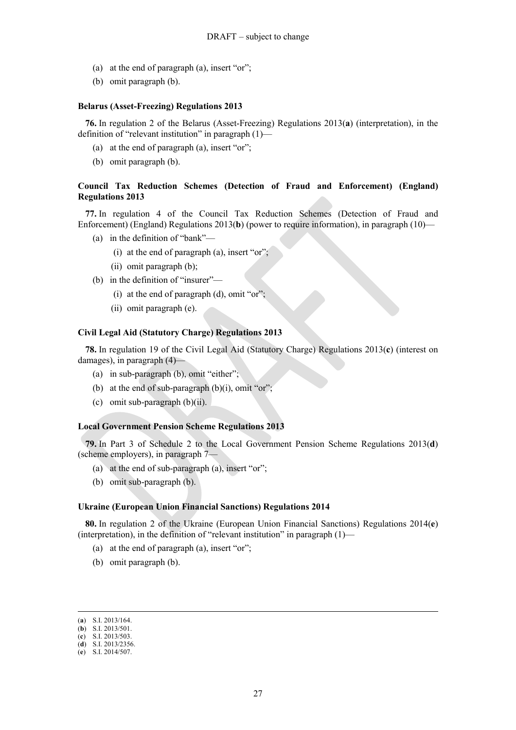- (a) at the end of paragraph (a), insert "or";
- (b) omit paragraph (b).

#### **Belarus (Asset-Freezing) Regulations 2013**

**76.** In regulation 2 of the Belarus (Asset-Freezing) Regulations 2013(**a**) (interpretation), in the definition of "relevant institution" in paragraph (1)—

- (a) at the end of paragraph (a), insert "or";
- (b) omit paragraph (b).

## **Council Tax Reduction Schemes (Detection of Fraud and Enforcement) (England) Regulations 2013**

**77.** In regulation 4 of the Council Tax Reduction Schemes (Detection of Fraud and Enforcement) (England) Regulations 2013(**b**) (power to require information), in paragraph (10)—

- (a) in the definition of "bank"—
	- (i) at the end of paragraph  $(a)$ , insert "or";
	- (ii) omit paragraph (b);
- (b) in the definition of "insurer"—
	- (i) at the end of paragraph  $(d)$ , omit "or";
	- (ii) omit paragraph (e).

### **Civil Legal Aid (Statutory Charge) Regulations 2013**

**78.** In regulation 19 of the Civil Legal Aid (Statutory Charge) Regulations 2013(**c**) (interest on damages), in paragraph (4)—

- (a) in sub-paragraph (b), omit "either";
- (b) at the end of sub-paragraph  $(b)(i)$ , omit "or";
- (c) omit sub-paragraph (b)(ii).

#### **Local Government Pension Scheme Regulations 2013**

**79.** In Part 3 of Schedule 2 to the Local Government Pension Scheme Regulations 2013(**d**) (scheme employers), in paragraph 7—

- (a) at the end of sub-paragraph (a), insert "or";
- (b) omit sub-paragraph (b).

## **Ukraine (European Union Financial Sanctions) Regulations 2014**

**80.** In regulation 2 of the Ukraine (European Union Financial Sanctions) Regulations 2014(**e**) (interpretation), in the definition of "relevant institution" in paragraph (1)—

- (a) at the end of paragraph (a), insert "or";
- (b) omit paragraph (b).

<sup>(</sup>**a**) S.I. 2013/164.

<sup>(</sup>**b**) S.I. 2013/501. (**c**) S.I. 2013/503.

<sup>(</sup>**d**) S.I. 2013/2356.

<sup>(</sup>**e**) S.I. 2014/507.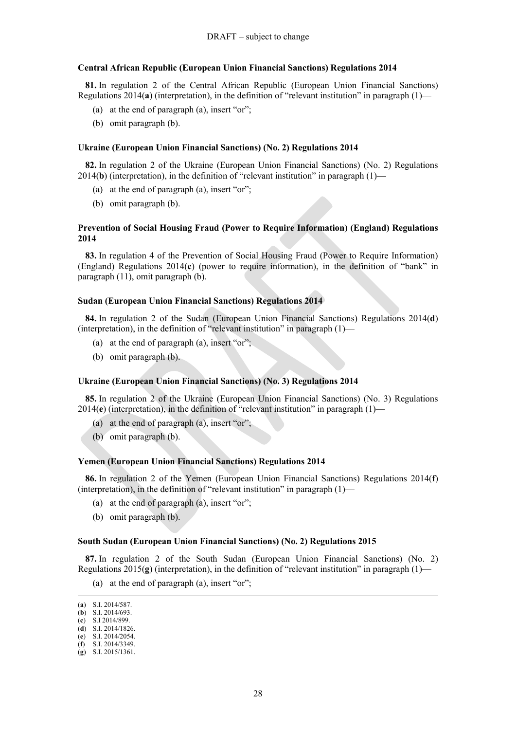#### **Central African Republic (European Union Financial Sanctions) Regulations 2014**

**81.** In regulation 2 of the Central African Republic (European Union Financial Sanctions) Regulations 2014(**a**) (interpretation), in the definition of "relevant institution" in paragraph (1)—

- (a) at the end of paragraph (a), insert "or";
- (b) omit paragraph (b).

### **Ukraine (European Union Financial Sanctions) (No. 2) Regulations 2014**

**82.** In regulation 2 of the Ukraine (European Union Financial Sanctions) (No. 2) Regulations 2014(**b**) (interpretation), in the definition of "relevant institution" in paragraph (1)—

- (a) at the end of paragraph (a), insert "or";
- (b) omit paragraph (b).

## **Prevention of Social Housing Fraud (Power to Require Information) (England) Regulations 2014**

**83.** In regulation 4 of the Prevention of Social Housing Fraud (Power to Require Information) (England) Regulations 2014(**c**) (power to require information), in the definition of "bank" in paragraph (11), omit paragraph (b).

## **Sudan (European Union Financial Sanctions) Regulations 2014**

**84.** In regulation 2 of the Sudan (European Union Financial Sanctions) Regulations 2014(**d**) (interpretation), in the definition of "relevant institution" in paragraph  $(1)$ -

- (a) at the end of paragraph (a), insert "or";
- (b) omit paragraph (b).

#### **Ukraine (European Union Financial Sanctions) (No. 3) Regulations 2014**

**85.** In regulation 2 of the Ukraine (European Union Financial Sanctions) (No. 3) Regulations 2014(**e**) (interpretation), in the definition of "relevant institution" in paragraph (1)—

- (a) at the end of paragraph (a), insert "or";
- (b) omit paragraph (b).

#### **Yemen (European Union Financial Sanctions) Regulations 2014**

**86.** In regulation 2 of the Yemen (European Union Financial Sanctions) Regulations 2014(**f**) (interpretation), in the definition of "relevant institution" in paragraph  $(1)$ —

- (a) at the end of paragraph (a), insert "or";
- (b) omit paragraph (b).

#### **South Sudan (European Union Financial Sanctions) (No. 2) Regulations 2015**

**87.** In regulation 2 of the South Sudan (European Union Financial Sanctions) (No. 2) Regulations  $2015(g)$  (interpretation), in the definition of "relevant institution" in paragraph (1)—

(a) at the end of paragraph (a), insert "or";

 $\overline{a}$ 

(**f**) S.I. 2014/3349.

<sup>(</sup>**a**) S.I. 2014/587.

<sup>(</sup>**b**) S.I. 2014/693.

<sup>(</sup>**c**) S.I 2014/899. (**d**) S.I. 2014/1826.

<sup>(</sup>**e**) S.I. 2014/2054.

<sup>(</sup>**g**) S.I. 2015/1361.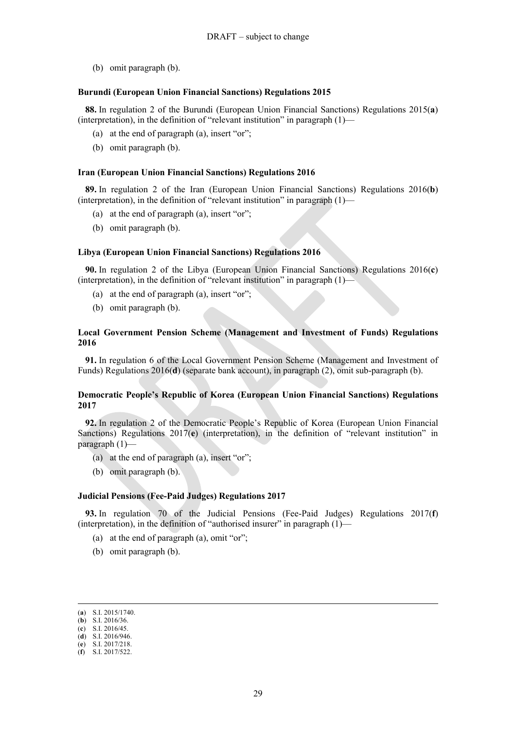(b) omit paragraph (b).

#### **Burundi (European Union Financial Sanctions) Regulations 2015**

**88.** In regulation 2 of the Burundi (European Union Financial Sanctions) Regulations 2015(**a**) (interpretation), in the definition of "relevant institution" in paragraph  $(1)$ —

- (a) at the end of paragraph (a), insert "or";
- (b) omit paragraph (b).

#### **Iran (European Union Financial Sanctions) Regulations 2016**

**89.** In regulation 2 of the Iran (European Union Financial Sanctions) Regulations 2016(**b**) (interpretation), in the definition of "relevant institution" in paragraph (1)—

- (a) at the end of paragraph (a), insert "or";
- (b) omit paragraph (b).

#### **Libya (European Union Financial Sanctions) Regulations 2016**

**90.** In regulation 2 of the Libya (European Union Financial Sanctions) Regulations 2016(**c**) (interpretation), in the definition of "relevant institution" in paragraph (1)—

- (a) at the end of paragraph (a), insert "or";
- (b) omit paragraph (b).

## **Local Government Pension Scheme (Management and Investment of Funds) Regulations 2016**

**91.** In regulation 6 of the Local Government Pension Scheme (Management and Investment of Funds) Regulations 2016(**d**) (separate bank account), in paragraph (2), omit sub-paragraph (b).

## **Democratic People's Republic of Korea (European Union Financial Sanctions) Regulations 2017**

**92.** In regulation 2 of the Democratic People's Republic of Korea (European Union Financial Sanctions) Regulations 2017(**e**) (interpretation), in the definition of "relevant institution" in paragraph (1)—

- (a) at the end of paragraph (a), insert "or";
- (b) omit paragraph (b).

#### **Judicial Pensions (Fee-Paid Judges) Regulations 2017**

**93.** In regulation 70 of the Judicial Pensions (Fee-Paid Judges) Regulations 2017(**f**) (interpretation), in the definition of "authorised insurer" in paragraph (1)—

- (a) at the end of paragraph (a), omit "or";
- (b) omit paragraph (b).

<sup>(</sup>**a**) S.I. 2015/1740.

<sup>(</sup>**b**) S.I. 2016/36. (**c**) S.I. 2016/45.

<sup>(</sup>**d**) S.I. 2016/946.

<sup>(</sup>**e**) S.I. 2017/218.

<sup>(</sup>**f**) S.I. 2017/522.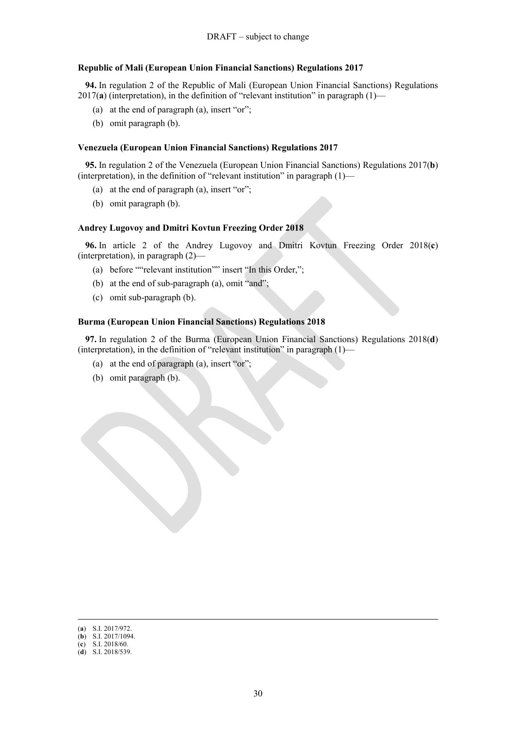## **Republic of Mali (European Union Financial Sanctions) Regulations 2017**

**94.** In regulation 2 of the Republic of Mali (European Union Financial Sanctions) Regulations 2017(**a**) (interpretation), in the definition of "relevant institution" in paragraph (1)—

- (a) at the end of paragraph (a), insert "or";
- (b) omit paragraph (b).

#### **Venezuela (European Union Financial Sanctions) Regulations 2017**

**95.** In regulation 2 of the Venezuela (European Union Financial Sanctions) Regulations 2017(**b**) (interpretation), in the definition of "relevant institution" in paragraph (1)—

- (a) at the end of paragraph (a), insert "or";
- (b) omit paragraph (b).

#### **Andrey Lugovoy and Dmitri Kovtun Freezing Order 2018**

**96.** In article 2 of the Andrey Lugovoy and Dmitri Kovtun Freezing Order 2018(**c**) (interpretation), in paragraph (2)—

- (a) before ""relevant institution"" insert "In this Order,";
- (b) at the end of sub-paragraph (a), omit "and";
- (c) omit sub-paragraph (b).

### **Burma (European Union Financial Sanctions) Regulations 2018**

**97.** In regulation 2 of the Burma (European Union Financial Sanctions) Regulations 2018(**d**) (interpretation), in the definition of "relevant institution" in paragraph (1)—

- (a) at the end of paragraph (a), insert "or";
- (b) omit paragraph (b).

<sup>(</sup>**a**) S.I. 2017/972.

<sup>(</sup>**b**) S.I. 2017/1094.

<sup>(</sup>**c**) S.I. 2018/60. (**d**) S.I. 2018/539.